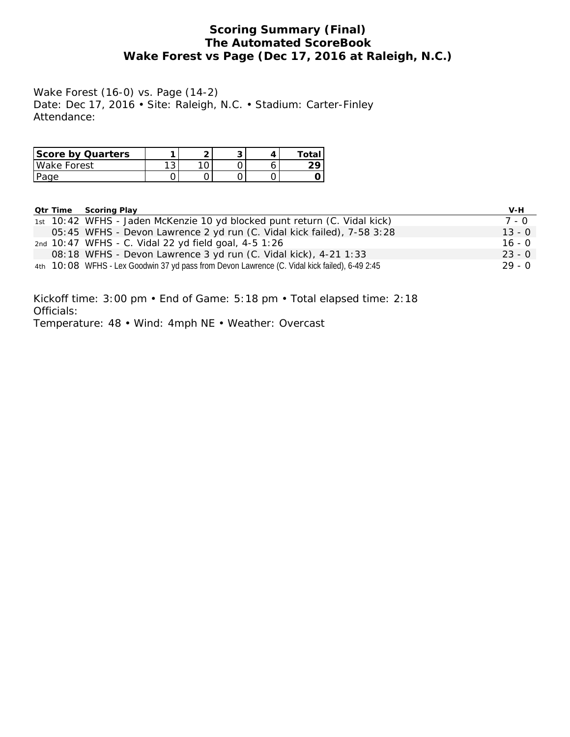## **Scoring Summary (Final) The Automated ScoreBook Wake Forest vs Page (Dec 17, 2016 at Raleigh, N.C.)**

Wake Forest (16-0) vs. Page (14-2) Date: Dec 17, 2016 • Site: Raleigh, N.C. • Stadium: Carter-Finley Attendance:

| Score by Quarters |             | <u>-</u> |  | $T \cap T$ |
|-------------------|-------------|----------|--|------------|
| Wake Forest       | $\sim$<br>ັ |          |  |            |
| Page              |             | ັ        |  |            |

|  | <b>Qtr Time Scoring Play</b>                                                                  | V-H      |
|--|-----------------------------------------------------------------------------------------------|----------|
|  | 1st 10:42 WFHS - Jaden McKenzie 10 yd blocked punt return (C. Vidal kick)                     | 7 - 0    |
|  | 05:45 WFHS - Devon Lawrence 2 yd run (C. Vidal kick failed), 7-58 3:28                        | $13 - 0$ |
|  | 2nd 10:47 WFHS - C. Vidal 22 yd field goal, 4-5 1:26                                          | $16 - 0$ |
|  | 08:18 WFHS - Devon Lawrence 3 yd run (C. Vidal kick), 4-21 1:33                               | $23 - 0$ |
|  | 4th 10:08 WFHS - Lex Goodwin 37 yd pass from Devon Lawrence (C. Vidal kick failed), 6-49 2:45 | $29 - 0$ |

Kickoff time: 3:00 pm • End of Game: 5:18 pm • Total elapsed time: 2:18 Officials:

Temperature: 48 • Wind: 4mph NE • Weather: Overcast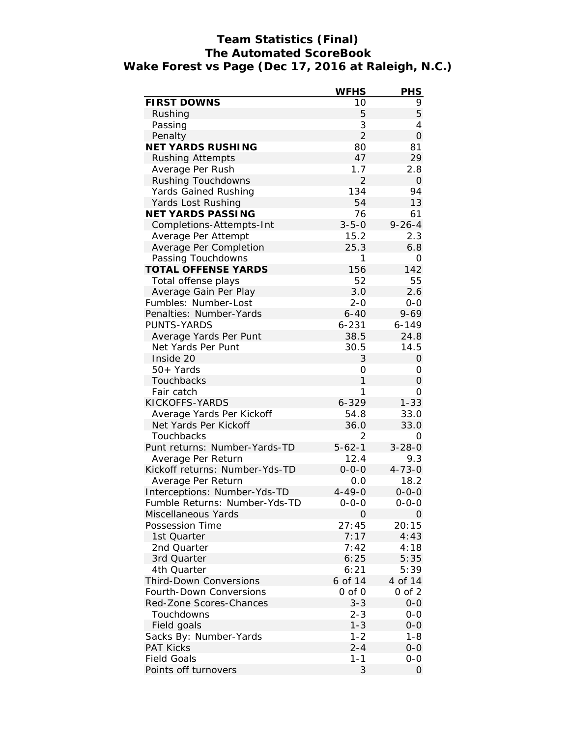# **Team Statistics (Final) The Automated ScoreBook Wake Forest vs Page (Dec 17, 2016 at Raleigh, N.C.)**

|                                                               | <b>WFHS</b>    | <b>PHS</b>        |
|---------------------------------------------------------------|----------------|-------------------|
| FIRST DOWNS                                                   | 10             | 9                 |
| Rushing                                                       | 5              | 5                 |
| Passing                                                       | 3              | 4                 |
| Penalty                                                       | $\overline{2}$ | $\mathcal{O}$     |
| NET YARDS RUSHING                                             | 80             | 81                |
| <b>Rushing Attempts</b>                                       | 47             | 29                |
| Average Per Rush                                              | 1.7            | 2.8               |
| Rushing Touchdowns                                            | $\overline{2}$ | $\overline{O}$    |
| Yards Gained Rushing                                          | 134            | 94                |
| Yards Lost Rushing                                            | 54             | 13                |
| <b>NET YARDS PASSING</b>                                      | 76             | 61                |
| Completions-Attempts-Int                                      | $3 - 5 - 0$    | $9 - 26 - 4$      |
| Average Per Attempt                                           | 15.2           | 2.3               |
| Average Per Completion                                        | 25.3           | 6.8               |
| Passing Touchdowns                                            | 1              | 0                 |
| TOTAL OFFENSE YARDS                                           | 156            | 142               |
| Total offense plays                                           | 52             | 55                |
| Average Gain Per Play                                         | 3.0            | 2.6               |
| Fumbles: Number-Lost                                          | $2 - 0$        | $0 - 0$           |
| Penalties: Number-Yards                                       | $6 - 40$       | $9 - 69$          |
| PUNTS-YARDS                                                   | $6 - 231$      | $6 - 149$         |
| Average Yards Per Punt                                        | 38.5           | 24.8              |
| Net Yards Per Punt                                            | 30.5           | 14.5              |
| Inside 20                                                     | 3              | $\overline{O}$    |
| 50+ Yards                                                     | 0              | Ο                 |
| Touchbacks                                                    | 1              | 0                 |
| Fair catch                                                    | 1              | Ο                 |
| KICKOFFS-YARDS                                                | $6 - 329$      | $1 - 33$          |
| Average Yards Per Kickoff                                     | 54.8           | 33.0              |
| Net Yards Per Kickoff                                         | 36.0           | 33.0              |
|                                                               | 2              |                   |
| Touchbacks<br>Punt returns: Number-Yards-TD                   | $5 - 62 - 1$   | 0<br>$3 - 28 - 0$ |
|                                                               |                |                   |
| Average Per Return                                            | 12.4           | 9.3               |
| Kickoff returns: Number-Yds-TD                                | $0 - 0 - 0$    | $4 - 73 - 0$      |
| Average Per Return                                            | 0.0            | 18.2              |
| Interceptions: Number-Yds-TD<br>Fumble Returns: Number-Yds-TD | $4 - 49 - 0$   | $0 - 0 - 0$       |
|                                                               | $0 - 0 - 0$    | 0-0-0             |
| Miscellaneous Yards                                           | 0              | 0                 |
| Possession Time                                               | 27:45          | 20:15             |
| 1st Quarter                                                   | 7:17           | 4:43              |
| 2nd Quarter                                                   | 7:42           | 4:18              |
| 3rd Quarter                                                   | 6:25           | 5:35              |
| 4th Quarter                                                   | 6:21           | 5:39              |
| <b>Third-Down Conversions</b>                                 | 6 of 14        | 4 of 14           |
| Fourth-Down Conversions                                       | $0$ of $0$     | $0$ of $2$        |
| Red-Zone Scores-Chances                                       | $3 - 3$        | $0 - 0$           |
| Touchdowns                                                    | $2 - 3$        | $0 - 0$           |
| Field goals                                                   | $1 - 3$        | $0 - 0$           |
| Sacks By: Number-Yards                                        | $1 - 2$        | $1 - 8$           |
| <b>PAT Kicks</b>                                              | $2 - 4$        | $0 - 0$           |
| <b>Field Goals</b>                                            | $1 - 1$        | $O-O$             |
| Points off turnovers                                          | 3              | 0                 |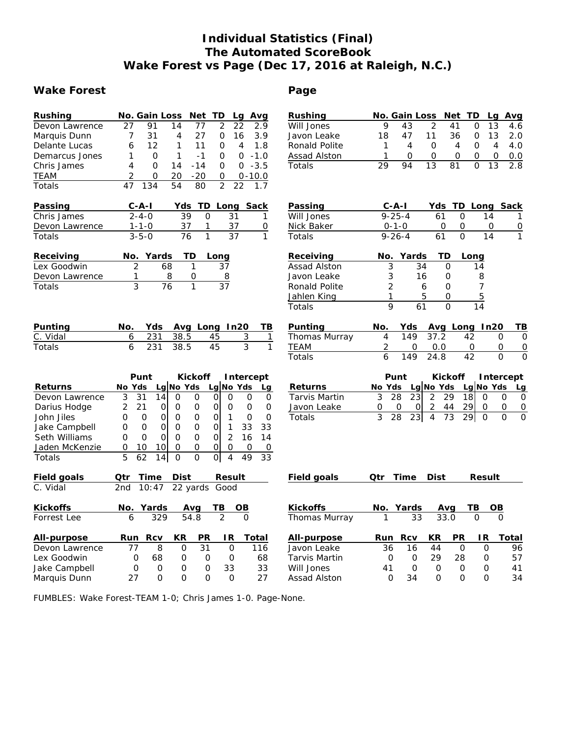# **Individual Statistics (Final) The Automated ScoreBook Wake Forest vs Page (Dec 17, 2016 at Raleigh, N.C.)**

# Wake Forest **Contract Executes Page**

| Rushing        | No. Gain Loss<br>Net TD<br>Lg Avg                                                                  | Rushing              | Net TD<br>No. Gain Loss<br>Avg<br>Lg                                            |
|----------------|----------------------------------------------------------------------------------------------------|----------------------|---------------------------------------------------------------------------------|
| Devon Lawrence | 27<br>14<br>$\overline{2}$<br>22<br>2.9<br>91<br>77                                                | Will Jones           | 9<br>$\overline{2}$<br>43<br>41<br>0<br>13<br>4.6                               |
| Marquis Dunn   | 31<br>27<br>$\Omega$<br>3.9<br>7<br>4<br>16                                                        | Javon Leake          | 18<br>47<br>11<br>36<br>13<br>2.0<br>O                                          |
| Delante Lucas  | 12<br>1<br>11<br>0<br>4<br>1.8<br>6                                                                | Ronald Polite        | $\overline{4}$<br>4.0<br>$\mathbf 0$<br>4<br>O<br>1<br>4                        |
| Demarcus Jones | $\mathcal{O}$<br>1<br>$-1$<br>O<br>$\Omega$<br>$-1.0$<br>1                                         | Assad Alston         | $\circ$<br>$\mathbf{O}$<br>0<br>0<br>0<br>0.0<br>1                              |
| Chris James    | $-3.5$<br>4<br>$\Omega$<br>14<br>$\mathsf{O}$<br>$-14$<br>0                                        | Totals               | $\overline{13}$<br>29<br>94<br>81<br>$\Omega$<br>13<br>2.8                      |
| <b>TEAM</b>    | $\overline{2}$<br>$-20$<br>$\overline{O}$<br>0<br>20<br>$0 - 10.0$                                 |                      |                                                                                 |
| Totals         | $\overline{2}$<br>47<br>54<br>80<br>22<br>134<br>1.7                                               |                      |                                                                                 |
| Passing        | C-A-I<br>Yds TD<br>Long Sack                                                                       | Passing              | TD Long<br>C-A-I<br>Yds<br>Sack                                                 |
| Chris James    | $2 - 4 - 0$<br>39<br>$\Omega$<br>31<br>1                                                           | Will Jones           | $9 - 25 - 4$<br>$\mathcal{O}$<br>61<br>14<br>1                                  |
| Devon Lawrence | 37<br>37<br>$1 - 1 - 0$<br>1<br>0                                                                  | Nick Baker           | $0 - 1 - 0$<br>$\mathsf{O}\xspace$<br>$\Omega$<br>0<br>$\overline{0}$           |
| Totals         | $\overline{37}$<br>$3 - 5 - 0$<br>$\overline{76}$<br>$\mathbf{1}$<br>1                             | Totals               | $9 - 26 - 4$<br>61<br>$\Omega$<br>14<br>$\mathbf{1}$                            |
| Receiving      | No. Yards<br>TD<br>Long                                                                            | Receiving            | TD<br>Yards<br>No.<br>Long                                                      |
| Lex Goodwin    | $\overline{2}$<br>$\mathbf{1}$<br>68<br>37                                                         | Assad Alston         | 3<br>34<br>$\overline{O}$<br>14                                                 |
| Devon Lawrence | 8<br>1<br>0<br>$\overline{8}$                                                                      | Javon Leake          | 3<br>16<br>$\circ$<br>8                                                         |
| Totals         | 3<br>$\overline{76}$<br>$\mathbf{1}$<br>37                                                         | Ronald Polite        | $\overline{2}$<br>$\Omega$<br>$\overline{7}$<br>6                               |
|                |                                                                                                    | Jahlen King          | 5<br>5<br>1<br>0                                                                |
|                |                                                                                                    | Totals               | 9<br>61<br>$\Omega$<br>14                                                       |
| Punting        | No.<br>Yds<br>Avg Long<br>In20<br>TВ                                                               | Punting              | No.<br>Yds<br>Avg Long In20<br>TВ                                               |
| C. Vidal       | 231<br>38.5<br>45<br>$\overline{3}$<br>6<br>1                                                      | Thomas Murray        | $\frac{1}{149}$<br>37.2<br>$\overline{4}$<br>42<br>$\overline{O}$<br>O          |
| Totals         | 6<br>3<br>$\mathbf{1}$<br>231<br>38.5<br>45                                                        | <b>TEAM</b>          | 2<br>$\Omega$<br>0.0<br>O<br>0<br>0                                             |
|                |                                                                                                    | Totals               | 6<br>24.8<br>42<br>149<br>$\Omega$<br>$\Omega$                                  |
|                | Kickoff<br>Punt<br>Intercept                                                                       |                      | Punt<br>Kickoff<br>Intercept                                                    |
| Returns        | Lg No Yds<br>Lg No Yds<br>No Yds<br>Lg                                                             | Returns              | Lg No Yds<br>Lg No Yds<br>No Yds<br>Lq                                          |
| Devon Lawrence | 3<br>31<br>14<br>$\Omega$<br>$\mathbf{O}$<br>Οl<br>$\Omega$<br>$\Omega$<br>0                       | <b>Tarvis Martin</b> | 3<br>28<br>29<br>23I<br>2<br>18<br>$\Omega$<br>$\Omega$<br>$\mathbf 0$          |
| Darius Hodge   | $\circ$<br>2<br>21<br>$\overline{O}$<br>O<br>$\mathcal{O}$<br>$\mathbf 0$<br>0<br>0                | Javon Leake          | $\overline{2}$<br>29<br>44<br>$\mathbf 0$<br>0<br>0<br>0<br>0<br>$\Omega$       |
| John Jiles     | $\Omega$<br>$\overline{O}$<br>$\Omega$<br>$\Omega$<br>0<br>$\circ$<br>0<br>$\circ$<br>$\mathbf{1}$ | Totals               | 3<br>28<br>23<br>73<br>29<br>$\Omega$<br>$\Omega$<br>$\overline{4}$<br>$\Omega$ |
| Jake Campbell  | $\mathsf{O}$<br>$\circ$<br>0<br>$\circ$<br>$\Omega$<br>$\mathbf{1}$<br>33<br>33<br>0               |                      |                                                                                 |
| Seth Williams  | $\overline{2}$<br>$\Omega$<br>$\Omega$<br>$\Omega$<br>$\Omega$<br>$\Omega$<br>Οl<br>16<br>14       |                      |                                                                                 |
| Jaden McKenzie | $\overline{O}$<br>$\Omega$<br>$\mathcal{O}$<br>0<br>10<br>0<br>0<br>0<br>10                        |                      |                                                                                 |
| Totals         | 5<br>$\overline{O}$<br>62<br>$\overline{O}$<br>$\Omega$<br>4<br>33<br>14<br>49                     |                      |                                                                                 |
| Field goals    | Qtr<br>Time<br>Dist<br>Result                                                                      | Field goals          | Time<br>Dist<br>Qtr<br>Result                                                   |
| C. Vidal       | 22 yards Good<br>2nd<br>10:47                                                                      |                      |                                                                                 |
| Kickoffs       | No.<br>Yards<br>TВ<br>Avg<br>OВ                                                                    | Kickoffs             | No.<br>Yards<br>TВ<br>Avg<br>OВ                                                 |
| Forrest Lee    | $\overline{2}$<br>$\overline{54.8}$<br>329<br>$\Omega$<br>6                                        | Thomas Murray        | 33.0<br>1<br>33<br>$\Omega$<br>$\Omega$                                         |
| All-purpose    | PR<br>Rcv<br>ΚR<br>IR.<br>Total<br>Run                                                             | All-purpose          | Rcv<br>ΚR<br>ΡR<br>IR.<br>Total<br>Run                                          |
| Devon Lawrence | 77<br>8<br>31<br>$\Omega$<br>$\Omega$<br>116                                                       | Javon Leake          | 36<br>16<br>44<br>$\mathbf 0$<br>$\mathbf 0$<br>96                              |
| Lex Goodwin    | 0<br>0<br>68<br>0<br>0<br>68                                                                       | Tarvis Martin        | O<br>$\circ$<br>29<br>28<br>57<br>0                                             |
| Jake Campbell  | $\overline{O}$<br>33<br>33<br>$\circ$<br>$\circ$<br>$\circ$                                        | Will Jones           | 41<br>$\overline{O}$<br>$\circ$<br>$\circ$<br>0<br>41                           |
| Marquis Dunn   | 27<br>$\Omega$<br>$\Omega$<br>$\Omega$<br>$\Omega$<br>27                                           | Assad Alston         | $\Omega$<br>34<br>$\Omega$<br>$\Omega$<br>34<br>$\Omega$                        |

FUMBLES: Wake Forest-TEAM 1-0; Chris James 1-0. Page-None.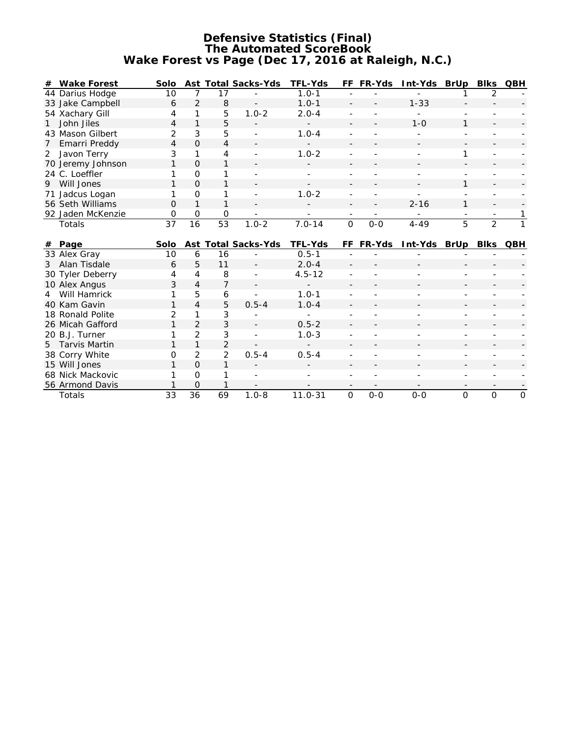## **Defensive Statistics (Final) The Automated ScoreBook Wake Forest vs Page (Dec 17, 2016 at Raleigh, N.C.)**

| # | Wake Forest       | Solo            |                |                      | Ast Total Sacks-Yds | TFL-Yds     |                | FF FR-Yds | Int-Yds BrUp |                | Blks           | QBH |
|---|-------------------|-----------------|----------------|----------------------|---------------------|-------------|----------------|-----------|--------------|----------------|----------------|-----|
|   | 44 Darius Hodge   | 10              | 7              | 17                   |                     | $1.0 - 1$   |                |           |              |                | 2              |     |
|   | 33 Jake Campbell  | 6               | $\overline{2}$ | 8                    |                     | $1.0 - 1$   |                |           | $1 - 33$     |                |                |     |
|   | 54 Xachary Gill   | 4               | 1              | 5                    | $1.0 - 2$           | $2.0 - 4$   |                |           |              |                |                |     |
| 1 | John Jiles        | 4               | $\mathbf{1}$   | 5                    |                     |             |                |           | $1 - 0$      | 1              |                |     |
|   | 43 Mason Gilbert  | $\overline{2}$  | 3              | 5                    |                     | $1.0 - 4$   |                |           |              |                |                |     |
| 7 | Emarri Preddy     | $\overline{4}$  | $\Omega$       | 4                    |                     |             |                |           |              |                |                |     |
| 2 | Javon Terry       | 3               | 1              | 4                    |                     | $1.0 - 2$   |                |           |              | 1              |                |     |
|   | 70 Jeremy Johnson |                 | $\Omega$       | 1                    |                     |             |                |           |              |                |                |     |
|   | 24 C. Loeffler    |                 | $\Omega$       | 1                    |                     |             |                |           |              |                |                |     |
| 9 | Will Jones        | 1               | $\Omega$       | 1                    |                     |             |                |           |              | 1              |                |     |
|   | 71 Jadcus Logan   | 1               | O              | 1                    |                     | $1.0 - 2$   |                |           |              |                |                |     |
|   | 56 Seth Williams  | 0               | 1              | 1                    |                     |             |                |           | $2 - 16$     | 1              |                |     |
|   | 92 Jaden McKenzie | 0               | 0              | $\circ$              |                     |             |                |           |              |                |                |     |
|   | Totals            | $\overline{37}$ | 16             | 53                   | $1.0 - 2$           | $7.0 - 14$  | $\overline{0}$ | $0 - 0$   | $4 - 49$     | $\overline{5}$ | $\overline{2}$ |     |
|   |                   |                 |                |                      |                     |             |                |           |              |                |                |     |
|   |                   |                 |                |                      |                     |             |                |           |              |                |                |     |
| # | Page              | Solo            |                |                      | Ast Total Sacks-Yds | TFL-Yds     | FF.            | FR-Yds    | Int-Yds BrUp |                | Blks           | QBH |
|   | 33 Alex Gray      | 10              | 6              | 16                   |                     | $0.5 - 1$   |                |           |              |                |                |     |
| 3 | Alan Tisdale      | 6               | 5              | 11                   |                     | $2.0 - 4$   |                |           |              |                |                |     |
|   | 30 Tyler Deberry  | 4               | $\overline{4}$ | 8                    |                     | $4.5 - 12$  |                |           |              |                |                |     |
|   | 10 Alex Angus     | 3               | $\overline{4}$ | 7                    |                     |             |                |           |              |                |                |     |
| 4 | Will Hamrick      |                 | 5              | 6                    |                     | $1.0 - 1$   |                |           |              |                |                |     |
|   | 40 Kam Gavin      | 1               | $\overline{4}$ | 5                    | $0.5 - 4$           | $1.0 - 4$   |                |           |              |                |                |     |
|   | 18 Ronald Polite  | $\overline{2}$  | 1              | 3                    |                     |             |                |           |              |                |                |     |
|   | 26 Micah Gafford  | 1               | 2              | 3                    |                     | $0.5 - 2$   |                |           |              |                |                |     |
|   | 20 B.J. Turner    |                 | $\overline{2}$ | 3                    |                     | $1.0 - 3$   |                |           |              |                |                |     |
| 5 | Tarvis Martin     | 1               | $\mathbf{1}$   | $\overline{2}$       |                     |             |                |           |              |                |                |     |
|   | 38 Corry White    | 0               | $\overline{2}$ | $\overline{2}$       | $0.5 - 4$           | $0.5 - 4$   |                |           |              |                |                |     |
|   | 15 Will Jones     |                 | $\Omega$       | 1                    |                     |             |                |           |              |                |                |     |
|   | 68 Nick Mackovic  |                 | $\Omega$       |                      |                     |             |                |           |              |                |                |     |
|   | 56 Armond Davis   | $\overline{33}$ | $\circ$<br>36  | 1<br>$\overline{69}$ | $1.0 - 8$           | $11.0 - 31$ |                | $0-0$     |              |                |                |     |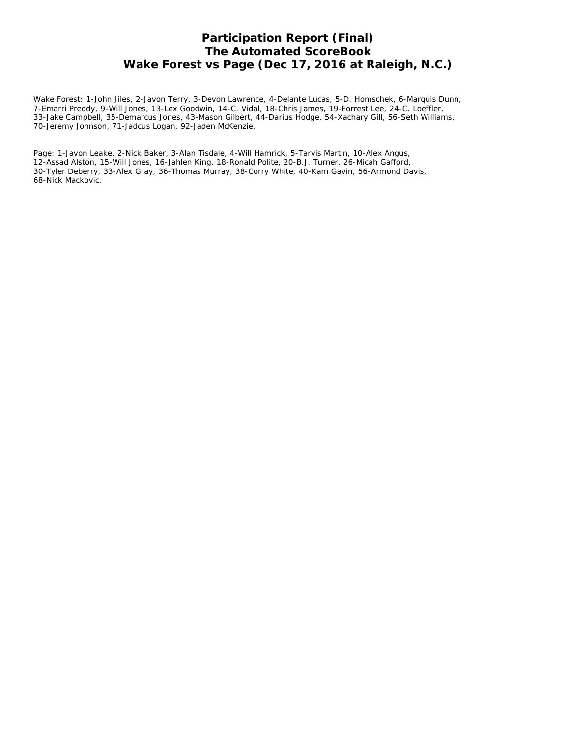# **Participation Report (Final) The Automated ScoreBook Wake Forest vs Page (Dec 17, 2016 at Raleigh, N.C.)**

Wake Forest: 1-John Jiles, 2-Javon Terry, 3-Devon Lawrence, 4-Delante Lucas, 5-D. Homschek, 6-Marquis Dunn, 7-Emarri Preddy, 9-Will Jones, 13-Lex Goodwin, 14-C. Vidal, 18-Chris James, 19-Forrest Lee, 24-C. Loeffler, 33-Jake Campbell, 35-Demarcus Jones, 43-Mason Gilbert, 44-Darius Hodge, 54-Xachary Gill, 56-Seth Williams, 70-Jeremy Johnson, 71-Jadcus Logan, 92-Jaden McKenzie.

Page: 1-Javon Leake, 2-Nick Baker, 3-Alan Tisdale, 4-Will Hamrick, 5-Tarvis Martin, 10-Alex Angus, 12-Assad Alston, 15-Will Jones, 16-Jahlen King, 18-Ronald Polite, 20-B.J. Turner, 26-Micah Gafford, 30-Tyler Deberry, 33-Alex Gray, 36-Thomas Murray, 38-Corry White, 40-Kam Gavin, 56-Armond Davis, 68-Nick Mackovic.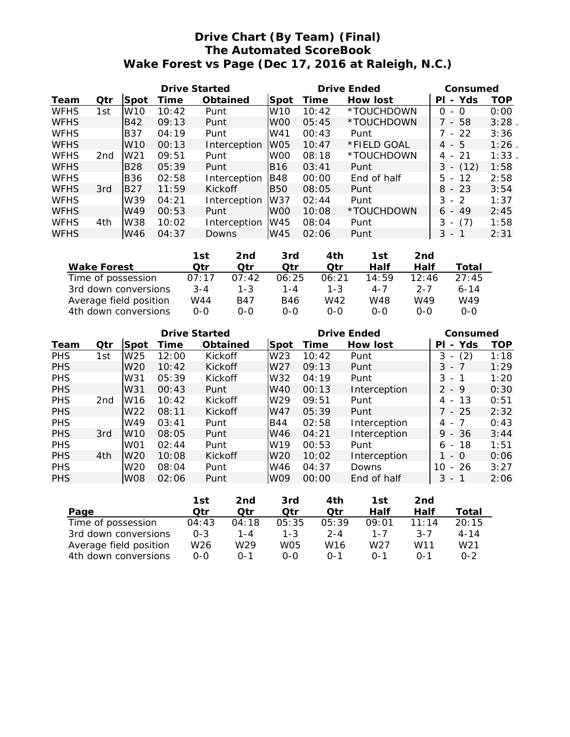# **Drive Chart (By Team) (Final) The Automated ScoreBook Wake Forest vs Page (Dec 17, 2016 at Raleigh, N.C.)**

|             |                 |                 | Drive Started |              |                 |       | Drive Ended | Consumed                              |            |
|-------------|-----------------|-----------------|---------------|--------------|-----------------|-------|-------------|---------------------------------------|------------|
| Team        | Qtr             | ISpot           | Time          | Obtained     | Spot            | Time  | How lost    | Yds<br>ΡI<br>$\overline{\phantom{a}}$ | <b>TOP</b> |
| <b>WFHS</b> | 1st             | W10             | 10:42         | Punt         | W <sub>10</sub> | 10:42 | *TOUCHDOWN  | $\Omega$<br>0<br>$\overline{a}$       | 0:00       |
| <b>WFHS</b> |                 | B42             | 09:13         | Punt         | W <sub>00</sub> | 05:45 | *TOUCHDOWN  | 7 - 58                                | 3:28       |
| <b>WFHS</b> |                 | IB37            | 04:19         | Punt         | W41             | 00:43 | Punt        | 7 - 22                                | 3:36       |
| <b>WFHS</b> |                 | W <sub>10</sub> | 00:13         | Interception | W <sub>05</sub> | 10:47 | *FIELD GOAL | $4 - 5$                               | 1:26       |
| <b>WFHS</b> | 2 <sub>nd</sub> | W <sub>21</sub> | 09:51         | Punt         | W <sub>00</sub> | 08:18 | *TOUCHDOWN  | $4 - 21$                              | 1:33       |
| <b>WFHS</b> |                 | <b>B28</b>      | 05:39         | Punt         | B16             | 03:41 | Punt        | $3 - (12)$                            | 1:58       |
| <b>WFHS</b> |                 | <b>B36</b>      | 02:58         | Interception | B48             | 00:00 | End of half | $5 -$<br>-12                          | 2:58       |
| <b>WFHS</b> | 3rd             | <b>B27</b>      | 11:59         | Kickoff      | <b>B50</b>      | 08:05 | Punt        | $8 - 23$                              | 3:54       |
| <b>WFHS</b> |                 | W39             | 04:21         | Interception | W37             | 02:44 | Punt        | $3 - 2$                               | 1:37       |
| <b>WFHS</b> |                 | W49             | 00:53         | Punt         | W <sub>00</sub> | 10:08 | *TOUCHDOWN  | $6 - 49$                              | 2:45       |
| <b>WFHS</b> | 4th             | W38             | 10:02         | Interception | W45             | 08:04 | Punt        | (7)<br>3<br>$\overline{\phantom{a}}$  | 1:58       |
| <b>WFHS</b> |                 | W46             | 04:37         | <b>Downs</b> | W45             | 02:06 | Punt        | 3<br>-1<br>$\sim$                     | 2:31       |

|                        | 1st     | 2nd        | 3rd     | 4th     | 1st     | 2nd     |          |
|------------------------|---------|------------|---------|---------|---------|---------|----------|
| Wake Forest            | ∩tr     | ∩tr        | ∩tr     | ∩tr     | Half    | Half    | Total    |
| Time of possession     | 07:17   | 07:42      | 06:25   | 06:21   | 14:59   | 12:46   | 27:45    |
| 3rd down conversions   | $3 - 4$ | $1 - 3$    | $1 - 4$ | $1 - 3$ | $4 - 7$ | $2 - 7$ | $6 - 14$ |
| Average field position | W44     | <b>B47</b> | B46     | W42     | W48     | W49     | W49      |
| 4th down conversions   | $O-O$   | $O-O$      | 0-0     | $O-O$   | $O-O$   | 0-0     | $O-O$    |

|            |                 |                 | Drive Started |                |                 |       | <b>Drive Ended</b> | Consumed                             |            |
|------------|-----------------|-----------------|---------------|----------------|-----------------|-------|--------------------|--------------------------------------|------------|
| Team       | Qtr             | Spot            | Time          | Obtained       | Spot            | Time  | How lost           | Yds<br>PI<br>$\sim$                  | <b>TOP</b> |
| <b>PHS</b> | 1st             | W <sub>25</sub> | 12:00         | Kickoff        | W <sub>23</sub> | 10:42 | Punt               | (2)<br>3<br>$\overline{\phantom{a}}$ | 1:18       |
| <b>PHS</b> |                 | W <sub>20</sub> | 10:42         | Kickoff        | W <sub>27</sub> | 09:13 | Punt               | $3 - 7$                              | 1:29       |
| <b>PHS</b> |                 | W31             | 05:39         | Kickoff        | W32             | 04:19 | Punt               | $3 - 1$                              | 1:20       |
| <b>PHS</b> |                 | W31             | 00:43         | Punt           | W40             | 00:13 | Interception       | $2 - 9$                              | 0:30       |
| <b>PHS</b> | 2 <sub>nd</sub> | W <sub>16</sub> | 10:42         | Kickoff        | W <sub>29</sub> | 09:51 | Punt               | 13<br>4 -                            | 0:51       |
| <b>PHS</b> |                 | W <sub>22</sub> | 08:11         | Kickoff        | W47             | 05:39 | Punt               | 7 - 25                               | 2:32       |
| <b>PHS</b> |                 | W49             | 03:41         | Punt           | <b>B44</b>      | 02:58 | Interception       | 4 - 7                                | 0:43       |
| <b>PHS</b> | 3rd             | W <sub>10</sub> | 08:05         | Punt           | W46             | 04:21 | Interception       | $9 - 36$                             | 3:44       |
| <b>PHS</b> |                 | W <sub>01</sub> | 02:44         | Punt           | W19             | 00:53 | Punt               | $6 - 18$                             | 1:51       |
| <b>PHS</b> | 4th             | W <sub>20</sub> | 10:08         | <b>Kickoff</b> | W <sub>20</sub> | 10:02 | Interception       | $-$ 0                                | 0:06       |
| <b>PHS</b> |                 | W <sub>20</sub> | 08:04         | Punt           | W46             | 04:37 | Downs              | $-26$<br>10                          | 3:27       |
| <b>PHS</b> |                 | <b>W08</b>      | 02:06         | Punt           | <b>W09</b>      | 00:00 | End of half        | 3 - 1                                | 2:06       |

|                        | 1st     | 2nd     | 3rd     | 4th             | 1st     | 2nd           |                 |
|------------------------|---------|---------|---------|-----------------|---------|---------------|-----------------|
| Page                   | ∩tr     | ∩tr     | ∩tr     | ∩tr             | Half    | Half          | Total           |
| Time of possession     | 04:43   | 04:18   | 05:35   | 05:39           | 09:01   | $11 \cdot 14$ | 20:15           |
| 3rd down conversions   | $0 - 3$ | 1 - 4   | $1 - 3$ | $2 - 4$         | $1 - 7$ | $3 - 7$       | $4 - 14$        |
| Average field position | W26     | W29     | WO5     | W <sub>16</sub> | W27     | W11           | W <sub>21</sub> |
| 4th down conversions   | 0-0     | $0 - 1$ | റ-റ     | $\Omega - 1$    | $0 - 1$ | $\bigcap -1$  | 0-2             |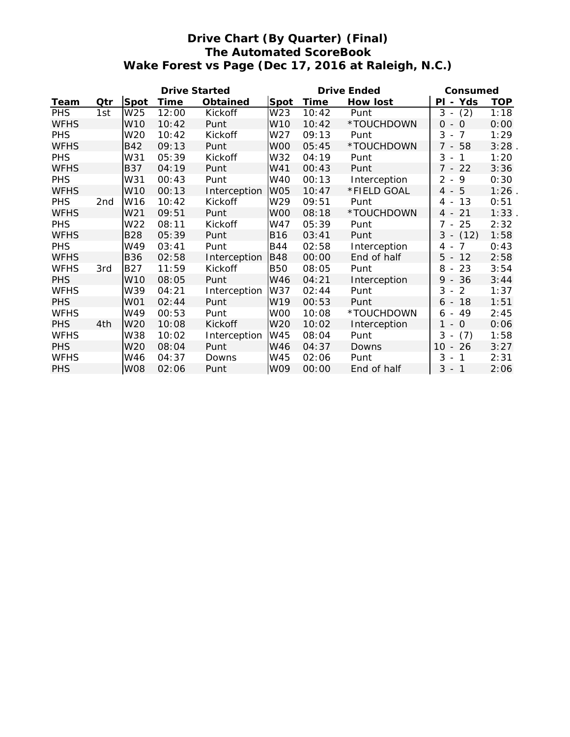# **Drive Chart (By Quarter) (Final) The Automated ScoreBook Wake Forest vs Page (Dec 17, 2016 at Raleigh, N.C.)**

|             |     |                 | <b>Drive Started</b> |              |                 |       | Drive Ended  | Consumed                                           |            |
|-------------|-----|-----------------|----------------------|--------------|-----------------|-------|--------------|----------------------------------------------------|------------|
| Team        | Qtr | Spot            | Time                 | Obtained     | Spot            | Time  | How lost     | PI - Yds                                           | <b>TOP</b> |
| <b>PHS</b>  | 1st | W25             | 12:00                | Kickoff      | W23             | 10:42 | Punt         | (2)<br>$3 -$                                       | 1:18       |
| <b>WFHS</b> |     | W <sub>10</sub> | 10:42                | Punt         | W <sub>10</sub> | 10:42 | *TOUCHDOWN   | $\overline{0}$<br>$\overline{O}$<br>$\blacksquare$ | 0:00       |
| <b>PHS</b>  |     | W20             | 10:42                | Kickoff      | W27             | 09:13 | Punt         | 3<br>7<br>$\sim$                                   | 1:29       |
| <b>WFHS</b> |     | <b>B42</b>      | 09:13                | Punt         | W <sub>00</sub> | 05:45 | *TOUCHDOWN   | $7 - 58$                                           | 3:28       |
| <b>PHS</b>  |     | W31             | 05:39                | Kickoff      | W32             | 04:19 | Punt         | 3<br>1<br>$\overline{\phantom{a}}$                 | 1:20       |
| <b>WFHS</b> |     | <b>B37</b>      | 04:19                | Punt         | W41             | 00:43 | Punt         | $7 - 22$                                           | 3:36       |
| <b>PHS</b>  |     | W31             | 00:43                | Punt         | W40             | 00:13 | Interception | 9<br>$\overline{2}$<br>$\overline{\phantom{a}}$    | 0:30       |
| <b>WFHS</b> |     | W10             | 00:13                | Interception | <b>W05</b>      | 10:47 | *FIELD GOAL  | $4 - 5$                                            | 1:26       |
| <b>PHS</b>  | 2nd | W16             | 10:42                | Kickoff      | W29             | 09:51 | Punt         | 13<br>4<br>$\overline{\phantom{a}}$                | 0:51       |
| <b>WFHS</b> |     | W21             | 09:51                | Punt         | W <sub>00</sub> | 08:18 | *TOUCHDOWN   | 21<br>$4 -$                                        | 1:33       |
| <b>PHS</b>  |     | W22             | 08:11                | Kickoff      | W47             | 05:39 | Punt         | $7 -$<br>25                                        | 2:32       |
| <b>WFHS</b> |     | <b>B28</b>      | 05:39                | Punt         | <b>B16</b>      | 03:41 | Punt         | $3 - (12)$                                         | 1:58       |
| <b>PHS</b>  |     | W49             | 03:41                | Punt         | B44             | 02:58 | Interception | 7<br>4<br>$\overline{\phantom{a}}$                 | 0:43       |
| <b>WFHS</b> |     | <b>B36</b>      | 02:58                | Interception | <b>B48</b>      | 00:00 | End of half  | 5<br>12<br>$\overline{\phantom{a}}$                | 2:58       |
| <b>WFHS</b> | 3rd | <b>B27</b>      | 11:59                | Kickoff      | <b>B50</b>      | 08:05 | Punt         | 8<br>23<br>$\overline{\phantom{a}}$                | 3:54       |
| <b>PHS</b>  |     | W <sub>10</sub> | 08:05                | Punt         | W46             | 04:21 | Interception | 36<br>9<br>$\overline{\phantom{a}}$                | 3:44       |
| <b>WFHS</b> |     | W39             | 04:21                | Interception | W37             | 02:44 | Punt         | 3<br>2<br>$\overline{\phantom{a}}$                 | 1:37       |
| <b>PHS</b>  |     | W01             | 02:44                | Punt         | W19             | 00:53 | Punt         | 18<br>$6 -$                                        | 1:51       |
| <b>WFHS</b> |     | W49             | 00:53                | Punt         | W <sub>00</sub> | 10:08 | *TOUCHDOWN   | 49<br>6<br>$\overline{\phantom{a}}$                | 2:45       |
| <b>PHS</b>  | 4th | W20             | 10:08                | Kickoff      | W20             | 10:02 | Interception | 1<br>$\overline{0}$<br>$\sim$                      | 0:06       |
| <b>WFHS</b> |     | W38             | 10:02                | Interception | W45             | 08:04 | Punt         | 3<br>(7)<br>$\overline{\phantom{a}}$               | 1:58       |
| <b>PHS</b>  |     | W <sub>20</sub> | 08:04                | Punt         | W46             | 04:37 | Downs        | 26<br>10 <sup>°</sup><br>$\overline{\phantom{a}}$  | 3:27       |
| <b>WFHS</b> |     | W46             | 04:37                | Downs        | W45             | 02:06 | Punt         | 3<br>$\mathbf{1}$<br>$\overline{\phantom{a}}$      | 2:31       |
| <b>PHS</b>  |     | <b>W08</b>      | 02:06                | Punt         | W09             | 00:00 | End of half  | 3<br>$-1$                                          | 2:06       |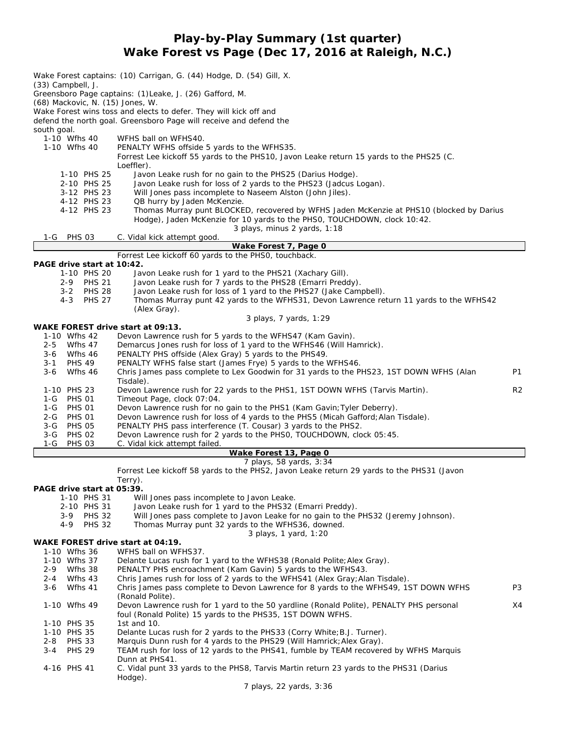**Play-by-Play Summary (1st quarter) Wake Forest vs Page (Dec 17, 2016 at Raleigh, N.C.)**

|                    |                                           | Wake Forest captains: (10) Carrigan, G. (44) Hodge, D. (54) Gill, X.                                                                                           |                |
|--------------------|-------------------------------------------|----------------------------------------------------------------------------------------------------------------------------------------------------------------|----------------|
|                    | (33) Campbell, J.                         | Greensboro Page captains: (1)Leake, J. (26) Gafford, M.                                                                                                        |                |
|                    | (68) Mackovic, N. (15) Jones, W.          |                                                                                                                                                                |                |
|                    |                                           | Wake Forest wins toss and elects to defer. They will kick off and                                                                                              |                |
|                    |                                           | defend the north goal. Greensboro Page will receive and defend the                                                                                             |                |
| south goal.        |                                           |                                                                                                                                                                |                |
|                    | 1-10 Wfhs 40                              | WFHS ball on WFHS40.                                                                                                                                           |                |
|                    | 1-10 Wfhs 40                              | PENALTY WFHS offside 5 yards to the WFHS35.                                                                                                                    |                |
|                    |                                           | Forrest Lee kickoff 55 yards to the PHS10, Javon Leake return 15 yards to the PHS25 (C.                                                                        |                |
|                    |                                           | Loeffler).                                                                                                                                                     |                |
|                    | 1-10 PHS 25<br>2-10 PHS 25                | Javon Leake rush for no gain to the PHS25 (Darius Hodge).<br>Javon Leake rush for loss of 2 yards to the PHS23 (Jadcus Logan).                                 |                |
|                    | 3-12 PHS 23                               | Will Jones pass incomplete to Naseem Alston (John Jiles).                                                                                                      |                |
|                    | 4-12 PHS 23                               | QB hurry by Jaden McKenzie.                                                                                                                                    |                |
|                    | 4-12 PHS 23                               | Thomas Murray punt BLOCKED, recovered by WFHS Jaden McKenzie at PHS10 (blocked by Darius                                                                       |                |
|                    |                                           | Hodge), Jaden McKenzie for 10 yards to the PHS0, TOUCHDOWN, clock 10:42.                                                                                       |                |
|                    |                                           | 3 plays, minus 2 yards, 1:18                                                                                                                                   |                |
| 1-G                | <b>PHS 03</b>                             | C. Vidal kick attempt good.                                                                                                                                    |                |
|                    |                                           | Wake Forest 7, Page 0                                                                                                                                          |                |
|                    |                                           | Forrest Lee kickoff 60 yards to the PHS0, touchback.                                                                                                           |                |
|                    | PAGE drive start at 10:42.<br>1-10 PHS 20 | Javon Leake rush for 1 yard to the PHS21 (Xachary Gill).                                                                                                       |                |
|                    | 2-9 PHS 21                                | Javon Leake rush for 7 yards to the PHS28 (Emarri Preddy).                                                                                                     |                |
|                    | $3 - 2$<br><b>PHS 28</b>                  | Javon Leake rush for loss of 1 yard to the PHS27 (Jake Campbell).                                                                                              |                |
|                    | <b>PHS 27</b><br>4-3                      | Thomas Murray punt 42 yards to the WFHS31, Devon Lawrence return 11 yards to the WFHS42                                                                        |                |
|                    |                                           | (Alex Gray).                                                                                                                                                   |                |
|                    |                                           | 3 plays, 7 yards, 1:29                                                                                                                                         |                |
|                    |                                           | WAKE FOREST drive start at 09:13.                                                                                                                              |                |
|                    | 1-10 Wfhs 42                              | Devon Lawrence rush for 5 yards to the WFHS47 (Kam Gavin).                                                                                                     |                |
| $2 - 5$            | Wfhs 47                                   | Demarcus Jones rush for loss of 1 yard to the WFHS46 (Will Hamrick).                                                                                           |                |
|                    | 3-6 Wfhs 46                               | PENALTY PHS offside (Alex Gray) 5 yards to the PHS49.                                                                                                          |                |
| $3 - 1$<br>$3 - 6$ | <b>PHS 49</b><br>Wfhs 46                  | PENALTY WFHS false start (James Frye) 5 yards to the WFHS46.<br>Chris James pass complete to Lex Goodwin for 31 yards to the PHS23, 1ST DOWN WFHS (Alan        | P1             |
|                    |                                           | Tisdale).                                                                                                                                                      |                |
|                    | 1-10 PHS 23                               | Devon Lawrence rush for 22 yards to the PHS1, 1ST DOWN WFHS (Tarvis Martin).                                                                                   | R <sub>2</sub> |
|                    | 1-G PHS 01                                | Timeout Page, clock 07:04.                                                                                                                                     |                |
|                    | 1-G PHS 01                                | Devon Lawrence rush for no gain to the PHS1 (Kam Gavin; Tyler Deberry).                                                                                        |                |
| $2 - G$            | <b>PHS 01</b>                             | Devon Lawrence rush for loss of 4 yards to the PHS5 (Micah Gafford; Alan Tisdale).                                                                             |                |
|                    | 3-G PHS 05                                | PENALTY PHS pass interference (T. Cousar) 3 yards to the PHS2.                                                                                                 |                |
|                    | 3-G PHS 02                                | Devon Lawrence rush for 2 yards to the PHSO, TOUCHDOWN, clock 05:45.                                                                                           |                |
| 1-G                | <b>PHS 03</b>                             | C. Vidal kick attempt failed.                                                                                                                                  |                |
|                    |                                           | Wake Forest 13, Page 0<br>7 plays, 58 yards, 3:34                                                                                                              |                |
|                    |                                           | Forrest Lee kickoff 58 yards to the PHS2, Javon Leake return 29 yards to the PHS31 (Javon                                                                      |                |
|                    |                                           | Terry).                                                                                                                                                        |                |
|                    | PAGE drive start at 05:39.                |                                                                                                                                                                |                |
|                    | 1-10 PHS 31                               | Will Jones pass incomplete to Javon Leake.                                                                                                                     |                |
|                    | 2-10 PHS 31                               | Javon Leake rush for 1 yard to the PHS32 (Emarri Preddy).                                                                                                      |                |
|                    | $3 - 9$<br><b>PHS 32</b>                  | Will Jones pass complete to Javon Leake for no gain to the PHS32 (Jeremy Johnson).                                                                             |                |
|                    | 4-9<br><b>PHS 32</b>                      | Thomas Murray punt 32 yards to the WFHS36, downed.                                                                                                             |                |
|                    |                                           | 3 plays, 1 yard, 1:20                                                                                                                                          |                |
|                    | 1-10 Wfhs 36                              | WAKE FOREST drive start at 04:19.<br>WFHS ball on WFHS37.                                                                                                      |                |
|                    | 1-10 Wfhs 37                              | Delante Lucas rush for 1 yard to the WFHS38 (Ronald Polite; Alex Gray).                                                                                        |                |
| 2-9                | Wfhs 38                                   | PENALTY PHS encroachment (Kam Gavin) 5 yards to the WFHS43.                                                                                                    |                |
| 2-4                | Wfhs 43                                   | Chris James rush for loss of 2 yards to the WFHS41 (Alex Gray; Alan Tisdale).                                                                                  |                |
| $3-6$              | Wfhs 41                                   | Chris James pass complete to Devon Lawrence for 8 yards to the WFHS49, 1ST DOWN WFHS                                                                           | P <sub>3</sub> |
|                    |                                           | (Ronald Polite).                                                                                                                                               |                |
|                    | 1-10 Wfhs 49                              | Devon Lawrence rush for 1 yard to the 50 yardline (Ronald Polite), PENALTY PHS personal                                                                        | X4             |
|                    |                                           | foul (Ronald Polite) 15 yards to the PHS35, 1ST DOWN WFHS.                                                                                                     |                |
|                    | 1-10 PHS 35                               | 1st and 10.                                                                                                                                                    |                |
|                    | 1-10 PHS 35                               | Delante Lucas rush for 2 yards to the PHS33 (Corry White; B.J. Turner).                                                                                        |                |
| 2-8<br>3-4         | <b>PHS 33</b><br><b>PHS 29</b>            | Marquis Dunn rush for 4 yards to the PHS29 (Will Hamrick; Alex Gray).<br>TEAM rush for loss of 12 yards to the PHS41, fumble by TEAM recovered by WFHS Marquis |                |
|                    |                                           | Dunn at PHS41.                                                                                                                                                 |                |
|                    | 4-16 PHS 41                               | C. Vidal punt 33 yards to the PHS8, Tarvis Martin return 23 yards to the PHS31 (Darius                                                                         |                |
|                    |                                           | Hodge).                                                                                                                                                        |                |
|                    |                                           | 7 plays, 22 yards, 3:36                                                                                                                                        |                |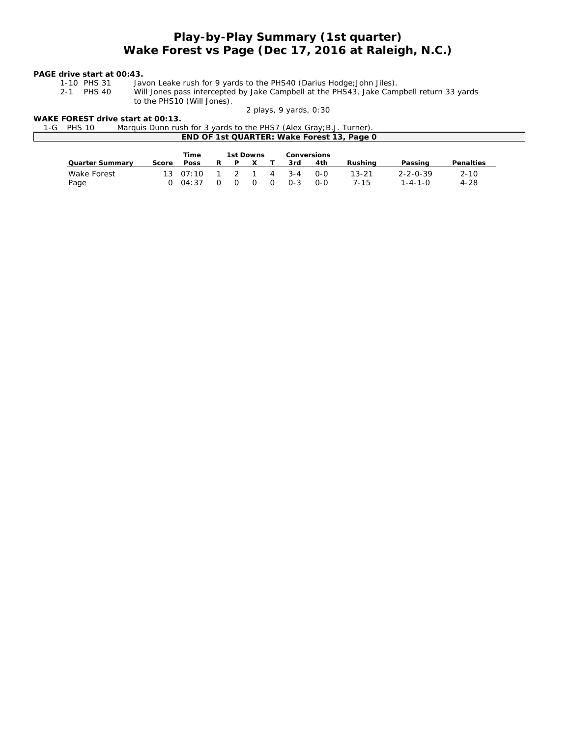## *Play-by-Play Summary (1st quarter) Wake Forest vs Page (Dec 17, 2016 at Raleigh, N.C.)*

**PAGE drive start at 00:43.**

1-10 PHS 31 Javon Leake rush for 9 yards to the PHS40 (Darius Hodge; John Jiles).<br>2-1 PHS 40 Will Jones pass intercepted by Jake Campbell at the PHS43, Jake Cam Will Jones pass intercepted by Jake Campbell at the PHS43, Jake Campbell return 33 yards

to the PHS10 (Will Jones). *2 plays, 9 yards, 0:30*

WAKE FOREST drive start at 00:13.<br>1-G PHS 10 Marquis Dunn rus 1-G PHS 10 Marquis Dunn rush for 3 yards to the PHS7 (Alex Gray;B.J. Turner). **END OF 1st QUARTER: Wake Forest 13, Page 0**

|                 |       | Time             |    | 1st Downs |          |         | Conversions |           |                  |           |
|-----------------|-------|------------------|----|-----------|----------|---------|-------------|-----------|------------------|-----------|
| Quarter Summary | Score | Poss             | R. | P         |          | 3rd     | 4th         | Rushina   | Passing          | Penalties |
| Wake Forest     |       | $13 \quad 07:10$ |    | 1 2 1     | 4        | $3 - 4$ | റ-റ         | $13 - 21$ | $2 - 2 - 0 - 39$ | $2 - 10$  |
| Page            |       | 0.04:37          |    |           | $\Omega$ | $0 - 3$ | 0-0         | 7-15      | $1 - 4 - 1 - 0$  | $4 - 28$  |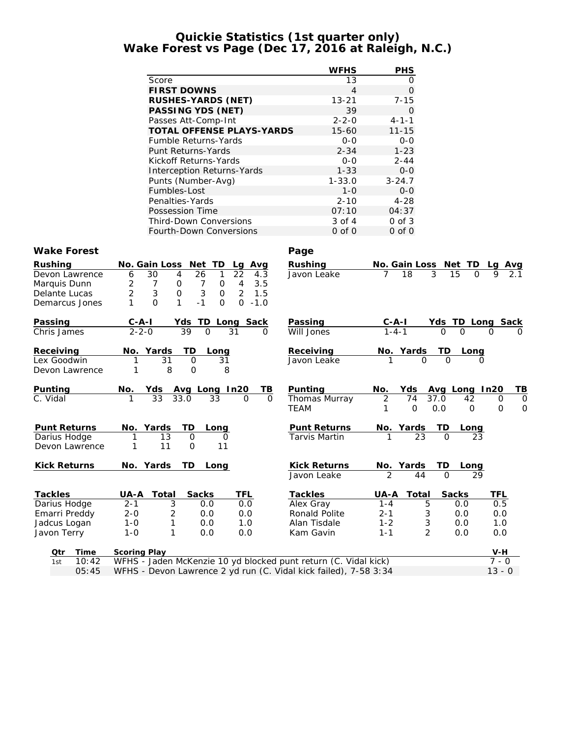## **Quickie Statistics (1st quarter only) Wake Forest vs Page (Dec 17, 2016 at Raleigh, N.C.)**

|                              |                                                                                     | <b>WFHS</b>                   | <b>PHS</b>                                                   |           |
|------------------------------|-------------------------------------------------------------------------------------|-------------------------------|--------------------------------------------------------------|-----------|
|                              | Score                                                                               | 13                            | 0                                                            |           |
|                              | <b>FIRST DOWNS</b>                                                                  | $\overline{4}$                | $\mathsf O$                                                  |           |
|                              | RUSHES-YARDS (NET)                                                                  | $13 - 21$                     | $7 - 15$                                                     |           |
|                              | PASSING YDS (NET)                                                                   | 39                            | $\mathbf{O}$                                                 |           |
|                              | Passes Att-Comp-Int                                                                 | $2 - 2 - 0$                   | $4 - 1 - 1$                                                  |           |
|                              | TOTAL OFFENSE PLAYS-YARDS                                                           | $15 - 60$                     | $11 - 15$                                                    |           |
|                              | Fumble Returns-Yards                                                                | $0 - 0$                       | $O-O$                                                        |           |
|                              | Punt Returns-Yards                                                                  | $2 - 34$                      | $1 - 23$                                                     |           |
|                              | Kickoff Returns-Yards                                                               | $O-O$                         | $2 - 44$                                                     |           |
|                              | Interception Returns-Yards                                                          | $1 - 33$                      | $0-0$                                                        |           |
|                              | Punts (Number-Avg)                                                                  | $1 - 33.0$                    | $3 - 24.7$                                                   |           |
|                              | Fumbles-Lost                                                                        | $1 - 0$                       | $O-O$                                                        |           |
|                              | Penalties-Yards                                                                     | $2 - 10$                      | $4 - 28$                                                     |           |
|                              | Possession Time                                                                     | 07:10                         | 04:37                                                        |           |
|                              | Third-Down Conversions                                                              | 3 of 4                        | $0$ of $3$                                                   |           |
|                              | Fourth-Down Conversions                                                             | $0$ of $0$                    | $0$ of $0$                                                   |           |
|                              |                                                                                     |                               |                                                              |           |
| Wake Forest                  |                                                                                     | Page                          |                                                              |           |
| Rushing                      | No. Gain Loss Net TD                                                                | Rushing                       | No. Gain Loss Net TD                                         |           |
| Devon Lawrence               | Lg Avg<br>$\overline{22}$<br>30<br>$\overline{4}$<br>26<br>6<br>4.3<br>$\mathbf{1}$ | Javon Leake                   | 3<br>$\overline{7}$<br>$\overline{18}$<br>15<br>0            |           |
| Marquis Dunn                 | 2<br>$\overline{7}$<br>$\overline{7}$<br>$\overline{4}$<br>3.5<br>0<br>0            |                               |                                                              |           |
| Delante Lucas                | 2<br>3<br>0<br>$\mathfrak{Z}$<br>$\overline{2}$<br>1.5<br>0                         |                               |                                                              |           |
| Demarcus Jones               | $\Omega$<br>1<br>$-1$<br>$\Omega$<br>$\Omega$<br>$-1.0$<br>1                        |                               |                                                              |           |
|                              |                                                                                     |                               |                                                              |           |
| Passing                      | Yds TD<br><u>C-A-I</u><br><u>Long Sack</u>                                          | Passing                       | <u>Yds TD Long Sack</u>                                      |           |
| Chris James                  | $2 - 2 - 0$<br>39<br>$\Omega$<br>31<br>0                                            | Will Jones                    | $C-A-I$<br>1-4-1<br>$\Omega$<br>$\Omega$<br>$\Omega$         |           |
|                              |                                                                                     |                               |                                                              |           |
| Receiving                    | <b>TD</b><br>No. Yards<br>Long                                                      | Receiving                     | $\frac{\text{No. Yards} - \text{TD}}{1 - \text{O}}$<br>Long  |           |
| Lex Goodwin                  | 31<br>$\overline{O}$<br>31<br>1                                                     | Javon Leake                   |                                                              |           |
| Devon Lawrence               | 8<br>8<br>1<br>0                                                                    |                               |                                                              |           |
|                              |                                                                                     |                               |                                                              |           |
| Punting                      | Avg Long In20<br>No.<br>TВ<br>Yds                                                   | Punting                       | No.<br>Yds<br>Avg Long In20                                  | <u>TB</u> |
| $\overline{C}$ . Vidal       | 33<br>33.0<br>33<br>$\Omega$<br>1<br>0                                              | Thomas Murray                 | $\overline{2}$<br>74<br>37.0<br>42<br>0                      | 0         |
|                              |                                                                                     | <b>TEAM</b>                   | 1<br>$\mathbf{O}$<br>0.0<br>$\overline{O}$<br>$\overline{O}$ | $\circ$   |
|                              |                                                                                     |                               |                                                              |           |
| Punt Returns<br>Darius Hodge | No. Yards<br>TD<br>Long<br>13<br>$\Omega$<br>0                                      | Punt Returns<br>Tarvis Martin | <u>No. Yards</u><br>1 23<br>I D<br><u>Long</u><br>23         |           |
| Devon Lawrence               | 11<br>$\mathbf{O}$<br>11<br>1                                                       |                               |                                                              |           |
|                              |                                                                                     |                               |                                                              |           |
| <b>Kick Returns</b>          | No. Yards<br>TD.<br>Long                                                            | <b>Kick Returns</b>           | No. Yards<br>TD<br>Long                                      |           |
|                              |                                                                                     | Javon Leake                   | $\overline{2}$<br>44<br>$\Omega$<br>29                       |           |
|                              |                                                                                     |                               |                                                              |           |
| Tackles                      | UA-A<br>Total<br>Sacks<br>TFL                                                       | Tackles                       | UA-A<br>Total<br>Sacks<br>TFL                                |           |
| Darius Hodge                 | $2 - 1$<br>3<br>0.0<br>0.0                                                          | Alex Gray                     | $1 - 4$<br>5<br>0.5<br>0.0                                   |           |
| Emarri Preddy                | $2 - 0$<br>$\overline{2}$<br>0.0<br>0.0                                             | Ronald Polite                 | $2 - 1$<br>$\ensuremath{\mathsf{3}}$<br>0.0<br>0.0           |           |
| Jadcus Logan                 | $1-0$<br>1<br>0.0<br>1.0                                                            | Alan Tisdale                  | $1 - 2$<br>3<br>0.0<br>1.0                                   |           |
| Javon Terry                  | $1 - 0$<br>1<br>0.0<br>0.0                                                          | Kam Gavin                     | $\overline{2}$<br>$1 - 1$<br>0.0<br>0.0                      |           |
|                              |                                                                                     |                               |                                                              |           |
| Time<br>Qtr                  | Scoring Play                                                                        |                               | $V-H$                                                        |           |

|  | 1st 10:42 WFHS - Jaden McKenzie 10 yd blocked punt return (C. Vidal kick) | $7 - 0$  |
|--|---------------------------------------------------------------------------|----------|
|  | 05:45 WFHS - Devon Lawrence 2 yd run (C. Vidal kick failed), 7-58 3:34    | $13 - 0$ |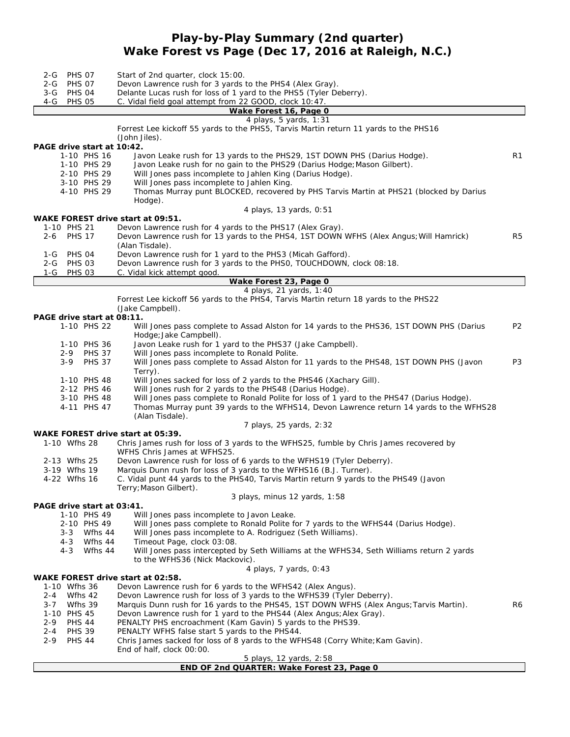## **Play-by-Play Summary (2nd quarter) Wake Forest vs Page (Dec 17, 2016 at Raleigh, N.C.)**

| <b>PHS 07</b><br>2-G<br>2-G PHS 07<br>3-G PHS 04<br>$4-G$<br><b>PHS 05</b> | Start of 2nd quarter, clock 15:00.<br>Devon Lawrence rush for 3 yards to the PHS4 (Alex Gray).<br>Delante Lucas rush for loss of 1 yard to the PHS5 (Tyler Deberry).<br>C. Vidal field goal attempt from 22 GOOD, clock 10:47. |                |
|----------------------------------------------------------------------------|--------------------------------------------------------------------------------------------------------------------------------------------------------------------------------------------------------------------------------|----------------|
|                                                                            | Wake Forest 16, Page 0                                                                                                                                                                                                         |                |
|                                                                            | 4 plays, 5 yards, 1:31<br>Forrest Lee kickoff 55 yards to the PHS5, Tarvis Martin return 11 yards to the PHS16<br>(John Jiles).                                                                                                |                |
| PAGE drive start at 10:42.<br>1-10 PHS 16<br>1-10 PHS 29                   | Javon Leake rush for 13 yards to the PHS29, 1ST DOWN PHS (Darius Hodge).<br>Javon Leake rush for no gain to the PHS29 (Darius Hodge; Mason Gilbert).                                                                           | R1             |
| 2-10 PHS 29<br>3-10 PHS 29<br>4-10 PHS 29                                  | Will Jones pass incomplete to Jahlen King (Darius Hodge).<br>Will Jones pass incomplete to Jahlen King.<br>Thomas Murray punt BLOCKED, recovered by PHS Tarvis Martin at PHS21 (blocked by Darius<br>Hodge).                   |                |
|                                                                            | 4 plays, 13 yards, 0:51                                                                                                                                                                                                        |                |
| 1-10 PHS 21                                                                | WAKE FOREST drive start at 09:51.                                                                                                                                                                                              |                |
| 2-6 PHS 17                                                                 | Devon Lawrence rush for 4 yards to the PHS17 (Alex Gray).<br>Devon Lawrence rush for 13 yards to the PHS4, 1ST DOWN WFHS (Alex Angus; Will Hamrick)<br>(Alan Tisdale).                                                         | R <sub>5</sub> |
| 1-G PHS 04<br>2-G PHS 03<br>1-G PHS 03                                     | Devon Lawrence rush for 1 yard to the PHS3 (Micah Gafford).<br>Devon Lawrence rush for 3 yards to the PHSO, TOUCHDOWN, clock 08:18.<br>C. Vidal kick attempt good.                                                             |                |
|                                                                            | Wake Forest 23, Page 0                                                                                                                                                                                                         |                |
|                                                                            | 4 plays, 21 yards, 1:40<br>Forrest Lee kickoff 56 yards to the PHS4, Tarvis Martin return 18 yards to the PHS22                                                                                                                |                |
|                                                                            | (Jake Campbell).                                                                                                                                                                                                               |                |
| PAGE drive start at 08:11.<br>1-10 PHS 22                                  | Will Jones pass complete to Assad Alston for 14 yards to the PHS36, 1ST DOWN PHS (Darius                                                                                                                                       | P <sub>2</sub> |
| 1-10 PHS 36                                                                | Hodge; Jake Campbell).<br>Javon Leake rush for 1 yard to the PHS37 (Jake Campbell).                                                                                                                                            |                |
| 2-9 PHS 37<br>3-9 PHS 37                                                   | Will Jones pass incomplete to Ronald Polite.<br>Will Jones pass complete to Assad Alston for 11 yards to the PHS48, 1ST DOWN PHS (Javon                                                                                        | P <sub>3</sub> |
| 1-10 PHS 48                                                                | Terry).<br>Will Jones sacked for loss of 2 yards to the PHS46 (Xachary Gill).                                                                                                                                                  |                |
| 2-12 PHS 46                                                                | Will Jones rush for 2 yards to the PHS48 (Darius Hodge).                                                                                                                                                                       |                |
| 3-10 PHS 48<br>4-11 PHS 47                                                 | Will Jones pass complete to Ronald Polite for loss of 1 yard to the PHS47 (Darius Hodge).<br>Thomas Murray punt 39 yards to the WFHS14, Devon Lawrence return 14 yards to the WFHS28<br>(Alan Tisdale).                        |                |
|                                                                            | 7 plays, 25 yards, 2:32                                                                                                                                                                                                        |                |
| 1-10 Wfhs 28                                                               | WAKE FOREST drive start at 05:39.<br>Chris James rush for loss of 3 yards to the WFHS25, fumble by Chris James recovered by<br>WFHS Chris James at WFHS25.                                                                     |                |
| 2-13 Wfhs 25                                                               | Devon Lawrence rush for loss of 6 yards to the WFHS19 (Tyler Deberry).                                                                                                                                                         |                |
| 3-19 Wfhs 19<br>4-22 Wfhs 16                                               | Marquis Dunn rush for loss of 3 yards to the WFHS16 (B.J. Turner).<br>C. Vidal punt 44 yards to the PHS40, Tarvis Martin return 9 yards to the PHS49 (Javon<br>Terry; Mason Gilbert).                                          |                |
|                                                                            | 3 plays, minus 12 yards, 1:58                                                                                                                                                                                                  |                |
| PAGE drive start at 03:41.<br>1-10 PHS 49                                  | Will Jones pass incomplete to Javon Leake.                                                                                                                                                                                     |                |
| 2-10 PHS 49<br>3-3 Wfhs 44                                                 | Will Jones pass complete to Ronald Polite for 7 yards to the WFHS44 (Darius Hodge).<br>Will Jones pass incomplete to A. Rodriguez (Seth Williams).                                                                             |                |
| 4-3<br>4-3                                                                 | Wfhs 44<br>Timeout Page, clock 03:08.<br>Wfhs 44<br>Will Jones pass intercepted by Seth Williams at the WFHS34, Seth Williams return 2 yards<br>to the WFHS36 (Nick Mackovic).                                                 |                |
|                                                                            | 4 plays, 7 yards, 0:43                                                                                                                                                                                                         |                |
| 1-10 Wfhs 36                                                               | WAKE FOREST drive start at 02:58.<br>Devon Lawrence rush for 6 yards to the WFHS42 (Alex Angus).                                                                                                                               |                |
| Wfhs 42<br>2-4<br>Wfhs 39                                                  | Devon Lawrence rush for loss of 3 yards to the WFHS39 (Tyler Deberry).                                                                                                                                                         |                |
| $3 - 7$<br>1-10 PHS 45                                                     | Marquis Dunn rush for 16 yards to the PHS45, 1ST DOWN WFHS (Alex Angus; Tarvis Martin).<br>Devon Lawrence rush for 1 yard to the PHS44 (Alex Angus; Alex Gray).                                                                | R6             |
| <b>PHS 44</b><br>2-9                                                       | PENALTY PHS encroachment (Kam Gavin) 5 yards to the PHS39.                                                                                                                                                                     |                |
| <b>PHS 39</b><br>2-4<br>2-9<br><b>PHS 44</b>                               | PENALTY WFHS false start 5 yards to the PHS44.<br>Chris James sacked for loss of 8 yards to the WFHS48 (Corry White; Kam Gavin).                                                                                               |                |
|                                                                            | End of half, clock 00:00.                                                                                                                                                                                                      |                |
|                                                                            | 5 plays, 12 yards, 2:58<br>END OF 2nd QUARTER: Wake Forest 23, Page 0                                                                                                                                                          |                |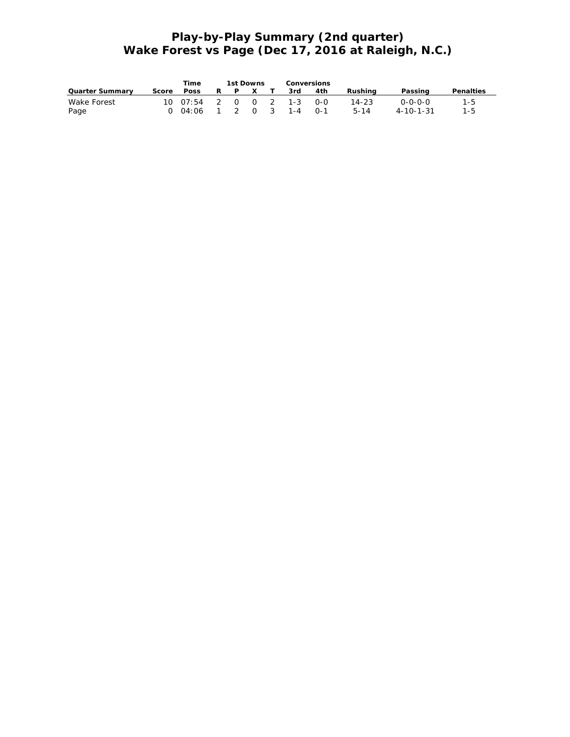# **Play-by-Play Summary (2nd quarter) Wake Forest vs Page (Dec 17, 2016 at Raleigh, N.C.)**

|                 |       | Time                 |   | 1st Downs    | Conversions |     |           |                   |           |
|-----------------|-------|----------------------|---|--------------|-------------|-----|-----------|-------------------|-----------|
| Quarter Summary | Score | Poss                 | R | $\mathsf{X}$ | 3rd         | 4th | Rushina   | Passing           | Penalties |
| Wake Forest     |       | 10 07:54 2 0 0 2 1-3 |   |              |             | റ-റ | $14 - 23$ | $0 - 0 - 0 - 0$   | 1-5       |
| Page            |       | 0 04:06 1 2 0 3      |   |              | $1 - 4$     | ∩-1 | $5 - 14$  | $4 - 10 - 1 - 31$ | $1 - 5$   |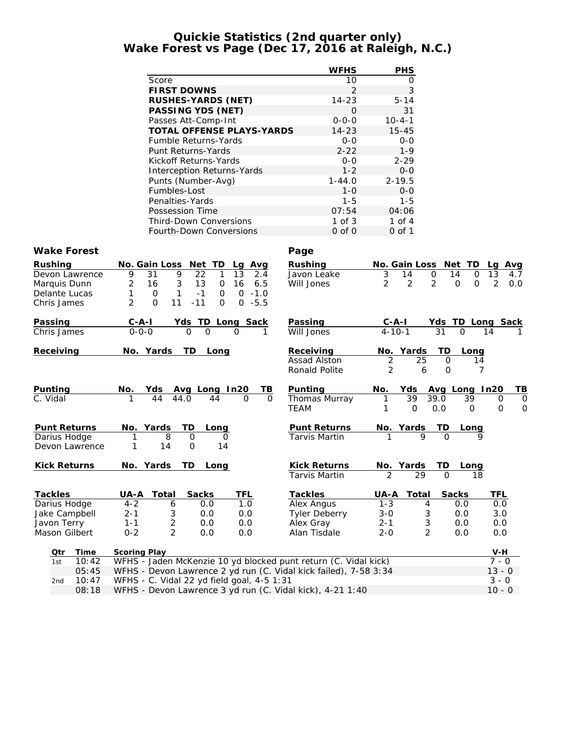## **Quickie Statistics (2nd quarter only) Wake Forest vs Page (Dec 17, 2016 at Raleigh, N.C.)**

|                                          |                                                                                 | <b>WFHS</b>                   | PHS                                                          |                                         |         |
|------------------------------------------|---------------------------------------------------------------------------------|-------------------------------|--------------------------------------------------------------|-----------------------------------------|---------|
|                                          | Score                                                                           | 10                            | 0                                                            |                                         |         |
|                                          | <b>FIRST DOWNS</b>                                                              | $\overline{2}$                | 3                                                            |                                         |         |
|                                          | RUSHES-YARDS (NET)                                                              | $14 - 23$                     | $5 - 14$                                                     |                                         |         |
|                                          | PASSING YDS (NET)                                                               | 0                             | 31                                                           |                                         |         |
|                                          | Passes Att-Comp-Int                                                             | $0 - 0 - 0$                   | $10 - 4 - 1$                                                 |                                         |         |
|                                          | TOTAL OFFENSE PLAYS-YARDS                                                       | $14 - 23$                     | $15 - 45$                                                    |                                         |         |
|                                          | Fumble Returns-Yards                                                            | $O-O$                         | $O-O$                                                        |                                         |         |
|                                          | Punt Returns-Yards                                                              | $2 - 22$                      | $1 - 9$                                                      |                                         |         |
|                                          | Kickoff Returns-Yards                                                           | $O-O$                         | $2 - 29$                                                     |                                         |         |
|                                          | Interception Returns-Yards                                                      | $1 - 2$                       | $0-0$                                                        |                                         |         |
|                                          | Punts (Number-Avg)<br>Fumbles-Lost                                              | $1 - 44.0$<br>$1 - 0$         | $2 - 19.5$<br>$O-O$                                          |                                         |         |
|                                          | Penalties-Yards                                                                 | $1 - 5$                       | $1 - 5$                                                      |                                         |         |
|                                          | Possession Time                                                                 | 07:54                         | 04:06                                                        |                                         |         |
|                                          | Third-Down Conversions                                                          | $1$ of $3$                    | 1 of 4                                                       |                                         |         |
|                                          | Fourth-Down Conversions                                                         | $0$ of $0$                    | $0$ of $1$                                                   |                                         |         |
|                                          |                                                                                 |                               |                                                              |                                         |         |
| Wake Forest                              |                                                                                 | Page                          |                                                              |                                         |         |
| Rushing                                  | No. Gain Loss Net TD<br>Lg Avg                                                  | Rushing                       | No. Gain Loss Net TD                                         | Lg Avg                                  |         |
| Devon Lawrence                           | 9<br>9<br>31<br>22<br>1<br>13<br>2.4                                            | Javon Leake                   | 3<br>$\mathbf 0$<br>14                                       | 13<br>14<br>$\mathbf{O}$<br>4.7         |         |
| Marquis Dunn                             | $\overline{2}$<br>$\sqrt{3}$<br>16<br>13<br>$\mathsf{O}$<br>16<br>6.5           | Will Jones                    | $\overline{2}$<br>$\overline{2}$<br>$\overline{2}$           | $\mathbf 0$<br>$\mathbf{O}$<br>2<br>0.0 |         |
| Delante Lucas                            | $-1.0$<br>$\mathbf{1}$<br>$-1$<br>0<br>$\overline{O}$<br>1<br>0                 |                               |                                                              |                                         |         |
| Chris James                              | $\overline{2}$<br>$0 - 5.5$<br>$\Omega$<br>11<br>$-11$<br>0                     |                               |                                                              |                                         |         |
|                                          |                                                                                 |                               |                                                              |                                         |         |
| Passing<br>Chris James                   | Yds TD Long Sack<br>0 0 0 1<br>$rac{C-A-I}{O-O-O}$                              | Passing<br>Will Jones         |                                                              | <u>Yds TD Long Sack</u><br>31 0 14 1    |         |
|                                          |                                                                                 |                               |                                                              |                                         |         |
| Receiving                                | No. Yards<br>TD.<br>Long                                                        | Receiving                     | No. Yards<br>TD                                              | Long                                    |         |
|                                          |                                                                                 | Assad Alston                  | 2<br>25                                                      | $\mathbf{O}$<br>14                      |         |
|                                          |                                                                                 | Ronald Polite                 | 2<br>6                                                       | $\mathbf{O}$<br>7                       |         |
|                                          |                                                                                 |                               |                                                              |                                         |         |
| <u>Punting</u><br>$\overline{C}$ . Vidal | Yds Avg Long In20<br>44 44.0 44 0<br>TВ<br>NO.<br>$\Omega$                      | Punting<br>Thomas Murray      | <u>Yds</u><br>No.<br>39<br>39.0<br>1                         | Avg Long In20<br>39<br>0                | TВ<br>0 |
|                                          |                                                                                 | <b>TEAM</b>                   | 0.0<br>1<br>0                                                | 0<br>0                                  | 0       |
|                                          |                                                                                 |                               |                                                              |                                         |         |
| Punt Returns                             | No. Yards<br>TD.<br>Long                                                        | <b>Punt Returns</b>           | $\frac{\text{No. Yards} \quad \text{TD}}{1 \quad 9 \quad 0}$ | <u>Long</u>                             |         |
| Darius Hodge                             | 8<br>0<br>1<br>0                                                                | <b>Tarvis Martin</b>          |                                                              |                                         |         |
| Devon Lawrence                           | 14<br>$\mathbf{O}$<br>1<br>14                                                   |                               |                                                              |                                         |         |
|                                          |                                                                                 |                               |                                                              |                                         |         |
| <b>Kick Returns</b>                      | No. Yards<br>TD.<br>Long                                                        | Kick Returns<br>Tarvis Martin | No. Yards<br>$\overline{2}$<br>29                            | Long<br>$\Omega$<br>18                  |         |
|                                          |                                                                                 |                               |                                                              |                                         |         |
| Tackles                                  | UA-A<br>Total<br>Sacks<br>TFL                                                   | Tackles                       | UA-A<br>Total                                                | <b>Sacks</b><br>TFL                     |         |
| Darius Hodge                             | $4 - 2$<br>0.0<br>1.0<br>6                                                      | <b>Alex Angus</b>             | $1 - 3$<br>4                                                 | 0.0<br>0.0                              |         |
| Jake Campbell                            | $2 - 1$<br>3<br>0.0<br>0.0                                                      | <b>Tyler Deberry</b>          | $3 - 0$<br>3                                                 | 0.0<br>3.0                              |         |
| Javon Terry                              | $\sqrt{2}$<br>$1 - 1$<br>0.0<br>0.0                                             | Alex Gray                     | $2 - 1$<br>3                                                 | 0.0<br>0.0                              |         |
| Mason Gilbert                            | $\overline{2}$<br>$0 - 2$<br>0.0<br>0.0                                         | Alan Tisdale                  | $2 - 0$<br>2                                                 | 0.0<br>0.0                              |         |
|                                          |                                                                                 |                               |                                                              |                                         |         |
| Time<br>Qtr<br>10:42                     | Scoring Play<br>WFHS - Jaden McKenzie 10 yd blocked punt return (C. Vidal kick) |                               |                                                              | V-H<br>$7 - 0$                          |         |
| 1st<br>05:45                             | WFHS - Devon Lawrence 2 yd run (C. Vidal kick failed), 7-58 3:34                |                               |                                                              | $13 - 0$                                |         |
| 10:47<br>2nd                             | WFHS - C. Vidal 22 yd field goal, 4-5 1:31                                      |                               |                                                              | $3 - 0$                                 |         |
| 08:18                                    | WFHS - Devon Lawrence 3 yd run (C. Vidal kick), 4-21 1:40                       |                               |                                                              | $10 - 0$                                |         |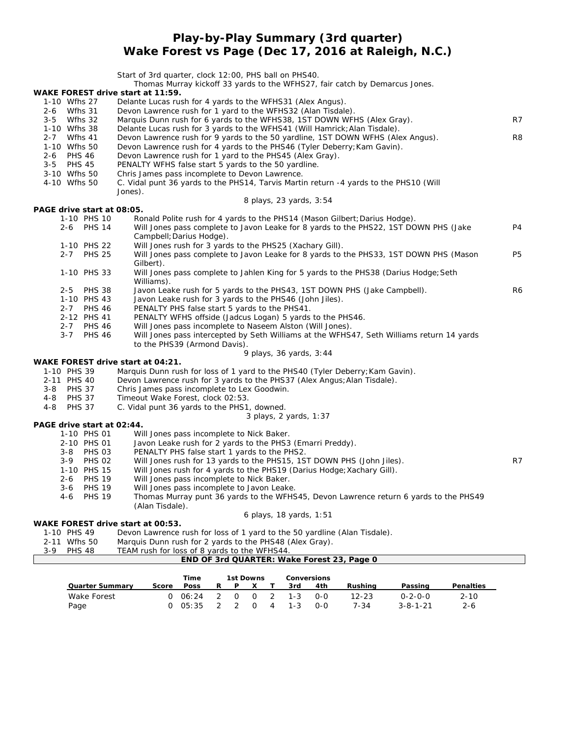## **Play-by-Play Summary (3rd quarter) Wake Forest vs Page (Dec 17, 2016 at Raleigh, N.C.)**

Start of 3rd quarter, clock 12:00, PHS ball on PHS40. Thomas Murray kickoff 33 yards to the WFHS27, fair catch by Demarcus Jones. **WAKE FOREST drive start at 11:59.** 1-10 Wfhs 27 Delante Lucas rush for 4 yards to the WFHS31 (Alex Angus). 2-6 Wfhs 31 Devon Lawrence rush for 1 yard to the WFHS32 (Alan Tisdale). 3-5 Wfhs 32 Marquis Dunn rush for 6 yards to the WFHS38, 1ST DOWN WFHS (Alex Gray). R7 Delante Lucas rush for 3 yards to the WFHS41 (Will Hamrick; Alan Tisdale). 2-7 Wfhs 41 Devon Lawrence rush for 9 yards to the 50 yardline, 1ST DOWN WFHS (Alex Angus). R8<br>1-10 Wfhs 50 Devon Lawrence rush for 4 yards to the PHS46 (Tyler Deberry; Kam Gavin). Devon Lawrence rush for 4 yards to the PHS46 (Tyler Deberry; Kam Gavin). 2-6 PHS 46 Devon Lawrence rush for 1 yard to the PHS45 (Alex Gray). 3-5 PHS 45 PENALTY WFHS false start 5 yards to the 50 yardline. 3-10 Wfhs 50 Chris James pass incomplete to Devon Lawrence. 4-10 Wfhs 50 C. Vidal punt 36 yards to the PHS14, Tarvis Martin return -4 yards to the PHS10 (Will Jones). *8 plays, 23 yards, 3:54* **PAGE drive start at 08:05.** 1-10 PHS 10 Ronald Polite rush for 4 yards to the PHS14 (Mason Gilbert; Darius Hodge). 2-6 PHS 14 Will Jones pass complete to Javon Leake for 8 yards to the PHS22, 1ST DOWN PHS (Jake P4 Campbell; Darius Hodge). 1-10 PHS 22 Will Jones rush for 3 yards to the PHS25 (Xachary Gill). 2-7 PHS 25 Will Jones pass complete to Javon Leake for 8 yards to the PHS33, 1ST DOWN PHS (Mason P5 Gilbert). 1-10 PHS 33 Will Jones pass complete to Jahlen King for 5 yards to the PHS38 (Darius Hodge;Seth Williams). 2-5 PHS 38 Javon Leake rush for 5 yards to the PHS43, 1ST DOWN PHS (Jake Campbell). R6 1-10 PHS 43 Javon Leake rush for 3 yards to the PHS46 (John Jiles). 2-7 PHS 46 PENALTY PHS false start 5 yards to the PHS41. 2-12 PHS 41 PENALTY WFHS offside (Jadcus Logan) 5 yards to the PHS46. 2-7 PHS 46 Will Jones pass incomplete to Naseem Alston (Will Jones). 3-7 PHS 46 Will Jones pass intercepted by Seth Williams at the WFHS47, Seth Williams return 14 yards to the PHS39 (Armond Davis). *9 plays, 36 yards, 3:44* **WAKE FOREST drive start at 04:21.** 1-10 PHS 39 Marquis Dunn rush for loss of 1 yard to the PHS40 (Tyler Deberry; Kam Gavin). 2-11 PHS 40 Devon Lawrence rush for 3 yards to the PHS37 (Alex Angus; Alan Tisdale). 3-8 PHS 37 Chris James pass incomplete to Lex Goodwin. 4-8 PHS 37 Timeout Wake Forest, clock 02:53.<br>4-8 PHS 37 C. Vidal punt 36 vards to the PHS1 C. Vidal punt 36 yards to the PHS1, downed. *3 plays, 2 yards, 1:37* **PAGE drive start at 02:44.** 1-10 PHS 01 Will Jones pass incomplete to Nick Baker. 2-10 PHS 01 Javon Leake rush for 2 yards to the PHS3 (Emarri Preddy). 3-8 PHS 03 PENALTY PHS false start 1 yards to the PHS2.<br>3-9 PHS 02 Will Jones rush for 13 yards to the PHS15, 1S 3-9 PHS 02 Will Jones rush for 13 yards to the PHS15, 1ST DOWN PHS (John Jiles). R7<br>1-10 PHS 15 Will Jones rush for 4 yards to the PHS19 (Darius Hodge: Xachary Gill). 1-10 PHS 15 Will Jones rush for 4 yards to the PHS19 (Darius Hodge; Xachary Gill).<br>2-6 PHS 19 Will Jones pass incomplete to Nick Baker. Will Jones pass incomplete to Nick Baker. 3-6 PHS 19 Will Jones pass incomplete to Javon Leake.

4-6 PHS 19 Thomas Murray punt 36 yards to the WFHS45, Devon Lawrence return 6 yards to the PHS49 (Alan Tisdale).

*6 plays, 18 yards, 1:51*

**WAKE FOREST drive start at 00:53.**

1-10 PHS 49 Devon Lawrence rush for loss of 1 yard to the 50 yardline (Alan Tisdale).

2-11 Wfhs 50 Marquis Dunn rush for 2 yards to the PHS48 (Alex Gray).

3-9 PHS 48 TEAM rush for loss of 8 yards to the WFHS44.

|                     |       | Time                     |   | 1st Downs |        |   |                      | Conversions  |                   |                                     |                     |
|---------------------|-------|--------------------------|---|-----------|--------|---|----------------------|--------------|-------------------|-------------------------------------|---------------------|
| Quarter Summary     | Score | Poss                     | R | P         |        |   | 3rd.                 | 4th          | Rushina           | Passing                             | Penalties           |
| Wake Forest<br>Page |       | $0 \t06:24$ 2<br>0.05:35 |   |           | $\cap$ | 4 | 0 0 2 1-3<br>$1 - 3$ | $O-O$<br>0-0 | $12 - 23$<br>7-34 | $0 - 2 - 0 - 0$<br>$3 - 8 - 1 - 21$ | $2 - 10$<br>$2 - 6$ |

**END OF 3rd QUARTER: Wake Forest 23, Page 0**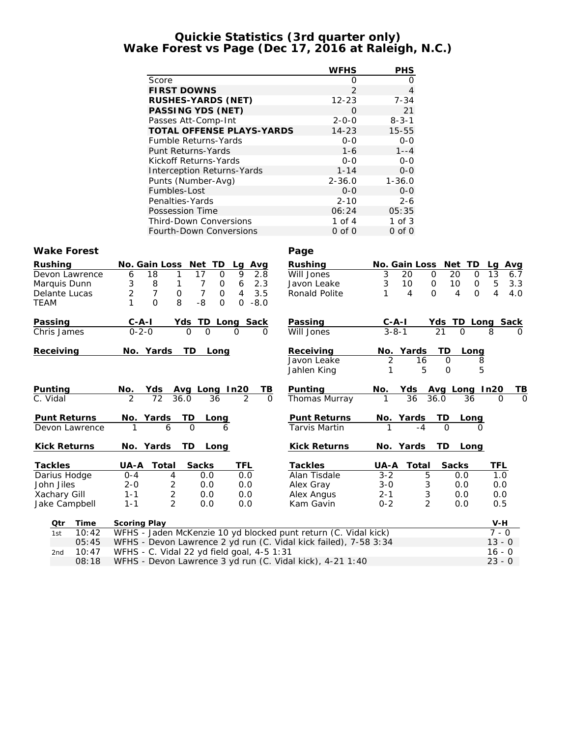## **Quickie Statistics (3rd quarter only) Wake Forest vs Page (Dec 17, 2016 at Raleigh, N.C.)**

|                    |                                                                                                 | <b>WFHS</b>          | PHS                                            |                                   |
|--------------------|-------------------------------------------------------------------------------------------------|----------------------|------------------------------------------------|-----------------------------------|
|                    | Score                                                                                           | 0                    | 0                                              |                                   |
|                    | <b>FIRST DOWNS</b>                                                                              | $\overline{2}$       | $\overline{4}$                                 |                                   |
|                    | RUSHES-YARDS (NET)                                                                              | $12 - 23$            | $7 - 34$                                       |                                   |
|                    | PASSING YDS (NET)                                                                               | 0                    | 21                                             |                                   |
|                    | Passes Att-Comp-Int                                                                             | $2 - 0 - 0$          | $8 - 3 - 1$                                    |                                   |
|                    | TOTAL OFFENSE PLAYS-YARDS                                                                       | $14 - 23$            | $15 - 55$                                      |                                   |
|                    | Fumble Returns-Yards                                                                            | $O-O$                | $O-O$                                          |                                   |
|                    | Punt Returns-Yards                                                                              | $1 - 6$              | $1 - -4$                                       |                                   |
|                    | Kickoff Returns-Yards                                                                           | $O - O$              | $O-O$                                          |                                   |
|                    | Interception Returns-Yards                                                                      | $1 - 14$             | $0-0$                                          |                                   |
|                    | Punts (Number-Avg)                                                                              | $2 - 36.0$           | $1 - 36.0$                                     |                                   |
|                    | Fumbles-Lost                                                                                    | $O-O$                | $O-O$                                          |                                   |
|                    | Penalties-Yards                                                                                 | $2 - 10$             | $2 - 6$                                        |                                   |
|                    | Possession Time                                                                                 | 06:24                | 05:35                                          |                                   |
|                    | Third-Down Conversions                                                                          | 1 of $4$             | $1$ of $3$                                     |                                   |
|                    | Fourth-Down Conversions                                                                         | $0$ of $0$           | $0$ of $0$                                     |                                   |
| Wake Forest        |                                                                                                 | Page                 |                                                |                                   |
| Rushing            | No. Gain Loss Net TD<br>Avg<br>Lq                                                               | Rushing              | No. Gain Loss Net TD                           | Lq Avg                            |
| Devon Lawrence     | 6<br>9<br>18<br>17<br>$\mathbf{1}$<br>0<br>2.8                                                  | Will Jones           | 3<br>20<br>$\mathbf{O}$<br>20                  | 13<br>$\Omega$<br>6.7             |
| Marquis Dunn       | 3<br>8<br>$\overline{7}$<br>6<br>2.3<br>$\mathbf{1}$<br>0                                       | Javon Leake          | 3<br>10<br>10<br>0                             | 5<br>$\mathsf{O}$<br>3.3          |
| Delante Lucas      | $\overline{2}$<br>$\overline{7}$<br>$\overline{7}$<br>3.5<br>$\mathbf 0$<br>$\overline{4}$<br>0 | Ronald Polite        | 4<br>4<br>1<br>$\Omega$                        | $\overline{4}$<br>4.0<br>$\Omega$ |
| <b>TEAM</b>        | $\Omega$<br>8<br>$-8$<br>$0 - 8.0$<br>1<br>$\overline{O}$                                       |                      |                                                |                                   |
| <u>Passing</u>     |                                                                                                 | Passing              |                                                |                                   |
| Chris James        | $rac{C-A-1}{0-2-0}$<br>Yds TD Long Sack<br>0 0 0 0                                              | Will Jones           |                                                | Yds TD Long Sack<br>21 0 8 0      |
|                    |                                                                                                 |                      |                                                |                                   |
| Receiving          | No. Yards<br>TD Long                                                                            | Receiving            | $\frac{\text{No. Yards}}{2}$ 16<br>TD          | Long                              |
|                    |                                                                                                 | Javon Leake          | $\overline{0}$                                 | 8                                 |
|                    |                                                                                                 | Jahlen King          | 5<br>$\mathbf{O}$<br>1                         | 5                                 |
| <u>Punting</u>     |                                                                                                 | Punting              |                                                |                                   |
| C. Vidal           | <u>No. Yds Avg Long In20</u><br>2 72 36.0 36 2<br><u>TB</u>                                     | Thomas Murray        | <u>No. Yds Avg Long In20</u><br>1 36 36.0 36 0 |                                   |
|                    |                                                                                                 |                      |                                                |                                   |
| Punt Returns       | <u>Long</u>                                                                                     | Punt Returns         |                                                |                                   |
| Devon Lawrence     | No. Yards TD<br>1 6 0                                                                           | <b>Tarvis Martin</b> | <u>No. Yards TD Long</u><br>1 -4 0 0           |                                   |
|                    |                                                                                                 |                      |                                                |                                   |
| Kick Returns       | No. Yards<br>TD<br>Long                                                                         | Kick Returns         | No. Yards TD                                   | Long                              |
| <b>Tackles</b>     | UA-A Total<br>Sacks<br>TFL                                                                      | <b>Tackles</b>       | Total<br>Sacks                                 | TFL                               |
| Darius Hodge       | $0 - 4$<br>$\overline{4}$<br>0.0<br>0.0                                                         | Alan Tisdale         | $3 - 2$<br>5<br>0.0                            | 1.0                               |
| John Jiles         | $2 - 0$<br>2<br>0.0<br>0.0                                                                      | Alex Gray            | $3 - 0$<br>3<br>0.0                            | 0.0                               |
| Xachary Gill       | $\overline{c}$<br>$1 - 1$<br>0.0<br>0.0                                                         | Alex Angus           | 3<br>$2 - 1$<br>0.0                            | 0.0                               |
| Jake Campbell      | $\overline{2}$<br>$1 - 1$<br>0.0<br>0.0                                                         | Kam Gavin            | $\overline{2}$<br>$0 - 2$<br>0.0               | 0.5                               |
|                    |                                                                                                 |                      |                                                |                                   |
| <u>Time</u><br>Qtr | <b>Scoring Play</b>                                                                             |                      |                                                | $V-H$                             |
| 10:42<br>1st       | WFHS - Jaden McKenzie 10 yd blocked punt return (C. Vidal kick)                                 |                      |                                                | $7 - 0$                           |
| 05:45              | WFHS - Devon Lawrence 2 yd run (C. Vidal kick failed), 7-58 3:34                                |                      |                                                | $13 - 0$                          |
| 10:47<br>2nd       | WFHS - C. Vidal 22 yd field goal, 4-5 1:31                                                      |                      |                                                | $16 - 0$                          |
| 08:18              | WFHS - Devon Lawrence 3 yd run (C. Vidal kick), 4-21 1:40                                       |                      |                                                | $23 - 0$                          |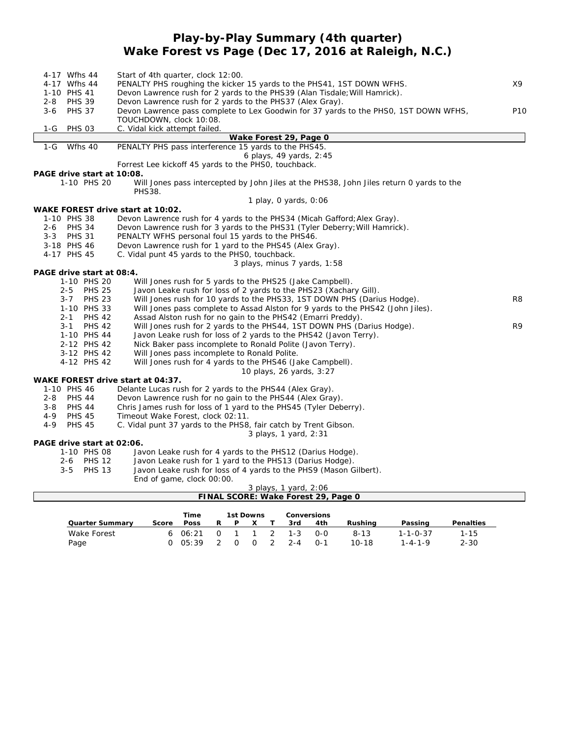## **Play-by-Play Summary (4th quarter) Wake Forest vs Page (Dec 17, 2016 at Raleigh, N.C.)**

| 4-17 Wfhs 44                      | Start of 4th quarter, clock 12:00.                                                       |                 |
|-----------------------------------|------------------------------------------------------------------------------------------|-----------------|
| 4-17 Wfhs 44                      | PENALTY PHS roughing the kicker 15 yards to the PHS41, 1ST DOWN WFHS.                    | Χ9              |
| 1-10 PHS 41                       | Devon Lawrence rush for 2 yards to the PHS39 (Alan Tisdale; Will Hamrick).               |                 |
| <b>PHS 39</b><br>$2 - 8$          | Devon Lawrence rush for 2 yards to the PHS37 (Alex Gray).                                |                 |
| <b>PHS 37</b><br>$3 - 6$          | Devon Lawrence pass complete to Lex Goodwin for 37 yards to the PHSO, 1ST DOWN WFHS,     | P <sub>10</sub> |
|                                   | TOUCHDOWN, clock 10:08.                                                                  |                 |
| 1-G<br><b>PHS 03</b>              | C. Vidal kick attempt failed.                                                            |                 |
|                                   | Wake Forest 29, Page 0                                                                   |                 |
| 1-G<br>Wfhs 40                    | PENALTY PHS pass interference 15 yards to the PHS45.                                     |                 |
|                                   | 6 plays, 49 yards, 2:45                                                                  |                 |
|                                   | Forrest Lee kickoff 45 yards to the PHSO, touchback.                                     |                 |
| PAGE drive start at 10:08.        |                                                                                          |                 |
| 1-10 PHS 20                       |                                                                                          |                 |
|                                   | Will Jones pass intercepted by John Jiles at the PHS38, John Jiles return 0 yards to the |                 |
|                                   | <b>PHS38.</b>                                                                            |                 |
|                                   | 1 play, 0 yards, 0:06                                                                    |                 |
| WAKE FOREST drive start at 10:02. |                                                                                          |                 |
| 1-10 PHS 38                       | Devon Lawrence rush for 4 yards to the PHS34 (Micah Gafford; Alex Gray).                 |                 |
| $2 - 6$<br><b>PHS 34</b>          | Devon Lawrence rush for 3 yards to the PHS31 (Tyler Deberry; Will Hamrick).              |                 |
| $3 - 3$<br><b>PHS 31</b>          | PENALTY WFHS personal foul 15 yards to the PHS46.                                        |                 |
| 3-18 PHS 46                       | Devon Lawrence rush for 1 yard to the PHS45 (Alex Gray).                                 |                 |
| 4-17 PHS 45                       | C. Vidal punt 45 yards to the PHSO, touchback.                                           |                 |
|                                   | 3 plays, minus 7 yards, 1:58                                                             |                 |
| PAGE drive start at 08:4.         |                                                                                          |                 |
| 1-10 PHS 20                       | Will Jones rush for 5 yards to the PHS25 (Jake Campbell).                                |                 |
| 2-5 PHS 25                        | Javon Leake rush for loss of 2 yards to the PHS23 (Xachary Gill).                        |                 |
| $3 - 7$<br><b>PHS 23</b>          | Will Jones rush for 10 yards to the PHS33, 1ST DOWN PHS (Darius Hodge).                  | R <sub>8</sub>  |
| 1-10 PHS 33                       | Will Jones pass complete to Assad Alston for 9 yards to the PHS42 (John Jiles).          |                 |
| $2 - 1$<br><b>PHS 42</b>          | Assad Alston rush for no gain to the PHS42 (Emarri Preddy).                              |                 |
| <b>PHS 42</b><br>$3 - 1$          | Will Jones rush for 2 yards to the PHS44, 1ST DOWN PHS (Darius Hodge).                   | R <sub>9</sub>  |
| 1-10 PHS 44                       | Javon Leake rush for loss of 2 yards to the PHS42 (Javon Terry).                         |                 |
| 2-12 PHS 42                       | Nick Baker pass incomplete to Ronald Polite (Javon Terry).                               |                 |
| 3-12 PHS 42                       | Will Jones pass incomplete to Ronald Polite.                                             |                 |
| 4-12 PHS 42                       | Will Jones rush for 4 yards to the PHS46 (Jake Campbell).                                |                 |
|                                   | 10 plays, 26 yards, 3:27                                                                 |                 |
| WAKE FOREST drive start at 04:37. |                                                                                          |                 |
| 1-10 PHS 46                       | Delante Lucas rush for 2 yards to the PHS44 (Alex Gray).                                 |                 |
| <b>PHS 44</b><br>$2 - 8$          | Devon Lawrence rush for no gain to the PHS44 (Alex Gray).                                |                 |
| <b>PHS 44</b><br>$3 - 8$          | Chris James rush for loss of 1 yard to the PHS45 (Tyler Deberry).                        |                 |
| $4 - 9$<br><b>PHS 45</b>          | Timeout Wake Forest, clock 02:11.                                                        |                 |
| $4 - 9$<br><b>PHS 45</b>          | C. Vidal punt 37 yards to the PHS8, fair catch by Trent Gibson.                          |                 |
|                                   | 3 plays, 1 yard, 2:31                                                                    |                 |
| PAGE drive start at 02:06.        |                                                                                          |                 |
| 1-10 PHS 08                       | Javon Leake rush for 4 yards to the PHS12 (Darius Hodge).                                |                 |
| 2-6 PHS 12                        | Javon Leake rush for 1 yard to the PHS13 (Darius Hodge).                                 |                 |
| <b>PHS 13</b><br>$3 - 5$          | Javon Leake rush for loss of 4 yards to the PHS9 (Mason Gilbert).                        |                 |
|                                   | End of game, clock 00:00.                                                                |                 |
|                                   | 3 plays, 1 yard, 2:06                                                                    |                 |
|                                   | FINAL SCORE: Wake Forest 29, Page 0                                                      |                 |
|                                   |                                                                                          |                 |
|                                   | Time<br>1st Downs<br>Conversions                                                         |                 |

|                 |       | Time      |          |          | 1st Downs |                   | Conversions |           |                  |           |
|-----------------|-------|-----------|----------|----------|-----------|-------------------|-------------|-----------|------------------|-----------|
| Quarter Summarv | Score | Poss      | R        | P        |           | 3rd               | 4th         | Rushina   | Passing          | Penalties |
| Wake Forest     |       | 6 $06:21$ | $\Omega$ |          |           | 1 1 2 1 - 3 0 - 0 |             | $8 - 1.3$ | $1 - 1 - 0 - 37$ | $1 - 15$  |
| Page            |       | 0.05:39   |          | $\Omega$ |           | $0 \t2 \t2-4$     | ∩-1         | $10 - 18$ | $1 - 4 - 1 - 9$  | $2 - 30$  |